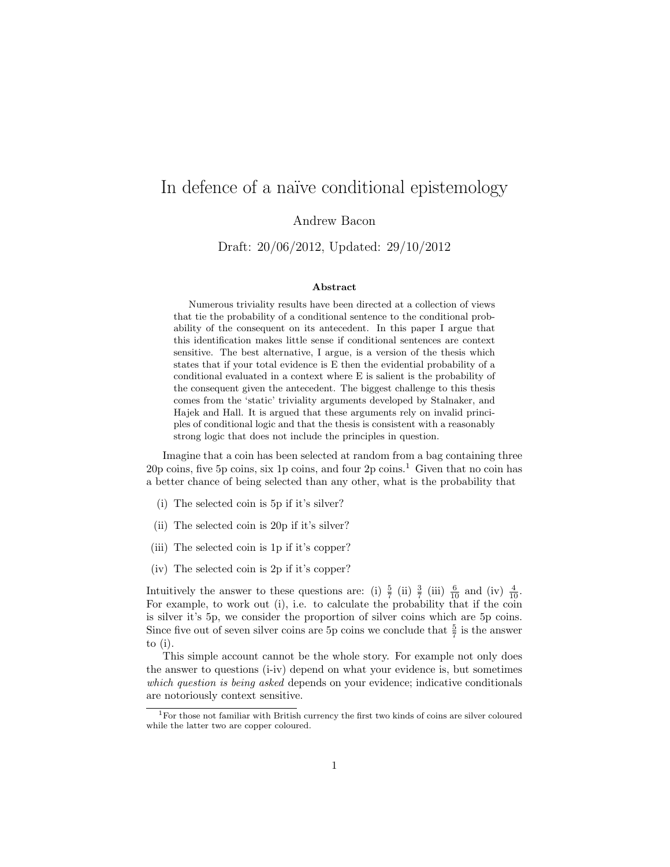# In defence of a naïve conditional epistemology

Andrew Bacon

Draft: 20/06/2012, Updated: 29/10/2012

#### Abstract

Numerous triviality results have been directed at a collection of views that tie the probability of a conditional sentence to the conditional probability of the consequent on its antecedent. In this paper I argue that this identification makes little sense if conditional sentences are context sensitive. The best alternative, I argue, is a version of the thesis which states that if your total evidence is E then the evidential probability of a conditional evaluated in a context where E is salient is the probability of the consequent given the antecedent. The biggest challenge to this thesis comes from the 'static' triviality arguments developed by Stalnaker, and Hajek and Hall. It is argued that these arguments rely on invalid principles of conditional logic and that the thesis is consistent with a reasonably strong logic that does not include the principles in question.

Imagine that a coin has been selected at random from a bag containing three 20p coins, five 5p coins, six 1p coins, and four  $2p \text{ coins.}^1$  Given that no coin has a better chance of being selected than any other, what is the probability that

- (i) The selected coin is 5p if it's silver?
- (ii) The selected coin is 20p if it's silver?
- (iii) The selected coin is 1p if it's copper?
- (iv) The selected coin is 2p if it's copper?

Intuitively the answer to these questions are: (i)  $\frac{5}{7}$  (ii)  $\frac{3}{7}$  (iii)  $\frac{6}{10}$  and (iv)  $\frac{4}{10}$ . For example, to work out (i), i.e. to calculate the probability that if the coin is silver it's 5p, we consider the proportion of silver coins which are 5p coins. Since five out of seven silver coins are 5p coins we conclude that  $\frac{5}{7}$  is the answer to (i).

This simple account cannot be the whole story. For example not only does the answer to questions (i-iv) depend on what your evidence is, but sometimes which question is being asked depends on your evidence; indicative conditionals are notoriously context sensitive.

 $\frac{1}{1}$  For those not familiar with British currency the first two kinds of coins are silver coloured while the latter two are copper coloured.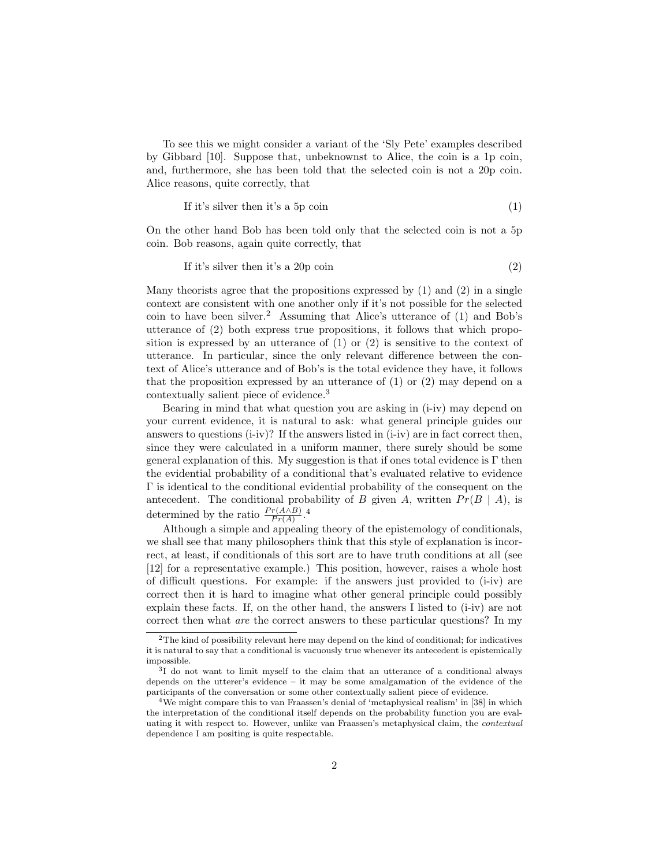To see this we might consider a variant of the 'Sly Pete' examples described by Gibbard [10]. Suppose that, unbeknownst to Alice, the coin is a 1p coin, and, furthermore, she has been told that the selected coin is not a 20p coin. Alice reasons, quite correctly, that

If it's silver then it's a 5p coin 
$$
(1)
$$

On the other hand Bob has been told only that the selected coin is not a 5p coin. Bob reasons, again quite correctly, that

If it's silver then it's a 20p coin 
$$
(2)
$$

Many theorists agree that the propositions expressed by  $(1)$  and  $(2)$  in a single context are consistent with one another only if it's not possible for the selected coin to have been silver.<sup>2</sup> Assuming that Alice's utterance of  $(1)$  and Bob's utterance of (2) both express true propositions, it follows that which proposition is expressed by an utterance of (1) or (2) is sensitive to the context of utterance. In particular, since the only relevant difference between the context of Alice's utterance and of Bob's is the total evidence they have, it follows that the proposition expressed by an utterance of  $(1)$  or  $(2)$  may depend on a contextually salient piece of evidence.<sup>3</sup>

Bearing in mind that what question you are asking in (i-iv) may depend on your current evidence, it is natural to ask: what general principle guides our answers to questions (i-iv)? If the answers listed in (i-iv) are in fact correct then, since they were calculated in a uniform manner, there surely should be some general explanation of this. My suggestion is that if ones total evidence is  $\Gamma$  then the evidential probability of a conditional that's evaluated relative to evidence Γ is identical to the conditional evidential probability of the consequent on the antecedent. The conditional probability of B given A, written  $Pr(B \mid A)$ , is determined by the ratio  $\frac{Pr(A \wedge B)}{Pr(A)}$ .<sup>4</sup>

Although a simple and appealing theory of the epistemology of conditionals, we shall see that many philosophers think that this style of explanation is incorrect, at least, if conditionals of this sort are to have truth conditions at all (see [12] for a representative example.) This position, however, raises a whole host of difficult questions. For example: if the answers just provided to (i-iv) are correct then it is hard to imagine what other general principle could possibly explain these facts. If, on the other hand, the answers I listed to (i-iv) are not correct then what are the correct answers to these particular questions? In my

<sup>&</sup>lt;sup>2</sup>The kind of possibility relevant here may depend on the kind of conditional; for indicatives it is natural to say that a conditional is vacuously true whenever its antecedent is epistemically impossible.

<sup>3</sup> I do not want to limit myself to the claim that an utterance of a conditional always depends on the utterer's evidence – it may be some amalgamation of the evidence of the participants of the conversation or some other contextually salient piece of evidence.

<sup>4</sup>We might compare this to van Fraassen's denial of 'metaphysical realism' in [38] in which the interpretation of the conditional itself depends on the probability function you are evaluating it with respect to. However, unlike van Fraassen's metaphysical claim, the contextual dependence I am positing is quite respectable.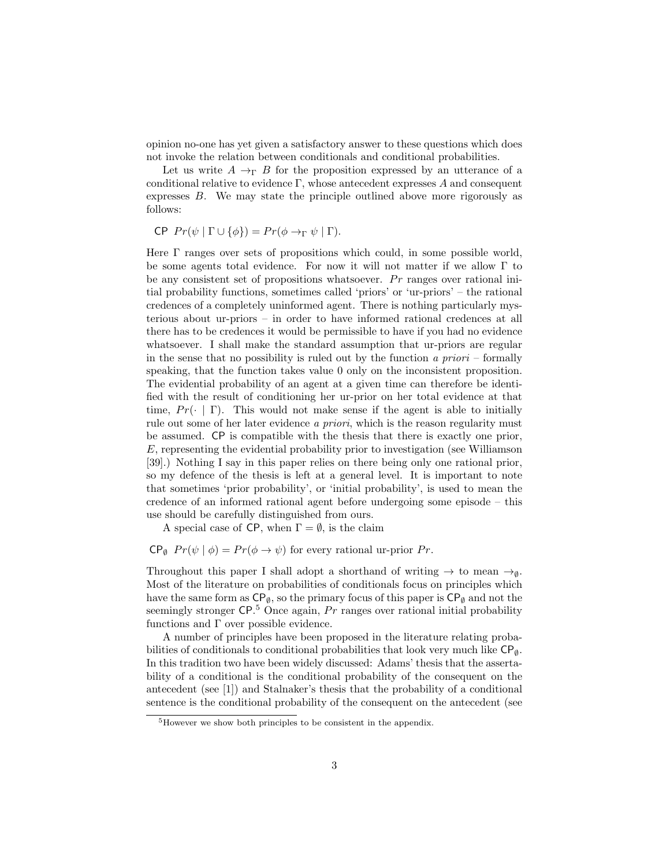opinion no-one has yet given a satisfactory answer to these questions which does not invoke the relation between conditionals and conditional probabilities.

Let us write  $A \rightarrow_{\Gamma} B$  for the proposition expressed by an utterance of a conditional relative to evidence  $\Gamma$ , whose antecedent expresses A and consequent expresses B. We may state the principle outlined above more rigorously as follows:

$$
\mathsf{CP} \ \Pr(\psi \mid \Gamma \cup \{\phi\}) = \Pr(\phi \to_{\Gamma} \psi \mid \Gamma).
$$

Here Γ ranges over sets of propositions which could, in some possible world, be some agents total evidence. For now it will not matter if we allow Γ to be any consistent set of propositions whatsoever.  $Pr$  ranges over rational initial probability functions, sometimes called 'priors' or 'ur-priors' – the rational credences of a completely uninformed agent. There is nothing particularly mysterious about ur-priors – in order to have informed rational credences at all there has to be credences it would be permissible to have if you had no evidence whatsoever. I shall make the standard assumption that ur-priors are regular in the sense that no possibility is ruled out by the function  $a priori$  – formally speaking, that the function takes value 0 only on the inconsistent proposition. The evidential probability of an agent at a given time can therefore be identified with the result of conditioning her ur-prior on her total evidence at that time,  $Pr(\cdot | \Gamma)$ . This would not make sense if the agent is able to initially rule out some of her later evidence a priori, which is the reason regularity must be assumed. CP is compatible with the thesis that there is exactly one prior, E, representing the evidential probability prior to investigation (see Williamson [39].) Nothing I say in this paper relies on there being only one rational prior, so my defence of the thesis is left at a general level. It is important to note that sometimes 'prior probability', or 'initial probability', is used to mean the credence of an informed rational agent before undergoing some episode – this use should be carefully distinguished from ours.

A special case of CP, when  $\Gamma = \emptyset$ , is the claim

 $\mathsf{CP}_{\emptyset}$   $Pr(\psi | \phi) = Pr(\phi \to \psi)$  for every rational ur-prior  $Pr$ .

Throughout this paper I shall adopt a shorthand of writing  $\rightarrow$  to mean  $\rightarrow_{\emptyset}$ . Most of the literature on probabilities of conditionals focus on principles which have the same form as  $\mathsf{CP}_{\emptyset}$ , so the primary focus of this paper is  $\mathsf{CP}_{\emptyset}$  and not the seemingly stronger  $\mathsf{CP}.5$  Once again,  $Pr$  ranges over rational initial probability functions and  $\Gamma$  over possible evidence.

A number of principles have been proposed in the literature relating probabilities of conditionals to conditional probabilities that look very much like  $\mathsf{CP}_{\emptyset}$ . In this tradition two have been widely discussed: Adams' thesis that the assertability of a conditional is the conditional probability of the consequent on the antecedent (see [1]) and Stalnaker's thesis that the probability of a conditional sentence is the conditional probability of the consequent on the antecedent (see

<sup>5</sup>However we show both principles to be consistent in the appendix.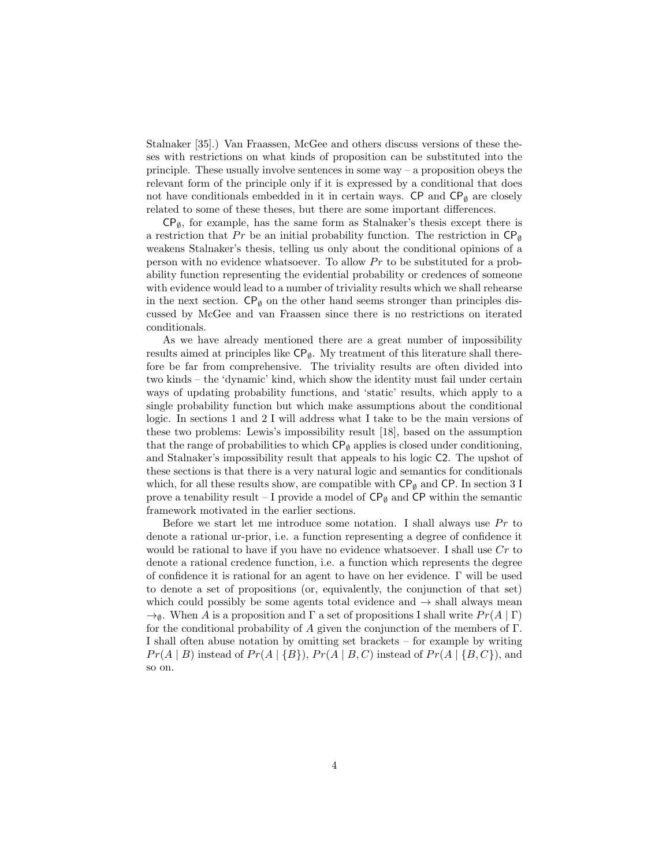Stalnaker [35].) Van Fraassen, McGee and others discuss versions of these theses with restrictions on what kinds of proposition can be substituted into the principle. These usually involve sentences in some way  $-$  a proposition obeys the relevant form of the principle only if it is expressed by a conditional that does not have conditionals embedded in it in certain ways. CP and  $\mathsf{CP}_{\emptyset}$  are closely related to some of these theses, but there are some important differences.

 $CP_{\emptyset}$ , for example, has the same form as Stalnaker's thesis except there is a restriction that Pr be an initial probability function. The restriction in  $\mathsf{CP}_{\emptyset}$ weakens Stalnaker's thesis, telling us only about the conditional opinions of a person with no evidence whatsoever. To allow  $Pr$  to be substituted for a probability function representing the evidential probability or credences of someone with evidence would lead to a number of triviality results which we shall rehearse in the next section.  $\mathsf{CP}_{\emptyset}$  on the other hand seems stronger than principles discussed by McGee and van Fraassen since there is no restrictions on iterated conditionals.

As we have already mentioned there are a great number of impossibility results aimed at principles like  $\mathsf{CP}_{\emptyset}$ . My treatment of this literature shall therefore be far from comprehensive. The triviality results are often divided into two kinds – the 'dynamic' kind, which show the identity must fail under certain ways of updating probability functions, and 'static' results, which apply to a single probability function but which make assumptions about the conditional logic. In sections 1 and 2 I will address what I take to be the main versions of these two problems: Lewis's impossibility result [18], based on the assumption that the range of probabilities to which  $\mathsf{CP}_{\emptyset}$  applies is closed under conditioning, and Stalnaker's impossibility result that appeals to his logic C2. The upshot of these sections is that there is a very natural logic and semantics for conditionals which, for all these results show, are compatible with  $\mathsf{CP}_\emptyset$  and  $\mathsf{CP}.$  In section  $3$  I prove a tenability result – I provide a model of  $\mathsf{CP}_{\emptyset}$  and  $\mathsf{CP}$  within the semantic framework motivated in the earlier sections.

Before we start let me introduce some notation. I shall always use  $Pr$  to denote a rational ur-prior, i.e. a function representing a degree of confidence it would be rational to have if you have no evidence whatsoever. I shall use  $Cr$  to denote a rational credence function, i.e. a function which represents the degree of confidence it is rational for an agent to have on her evidence. Γ will be used to denote a set of propositions (or, equivalently, the conjunction of that set) which could possibly be some agents total evidence and  $\rightarrow$  shall always mean  $\rightarrow$ <sub>0</sub>. When A is a proposition and  $\Gamma$  a set of propositions I shall write  $Pr(A | \Gamma)$ for the conditional probability of A given the conjunction of the members of  $\Gamma$ . I shall often abuse notation by omitting set brackets – for example by writing  $Pr(A | B)$  instead of  $Pr(A | {B}), Pr(A | B, C)$  instead of  $Pr(A | {B, C})$ , and so on.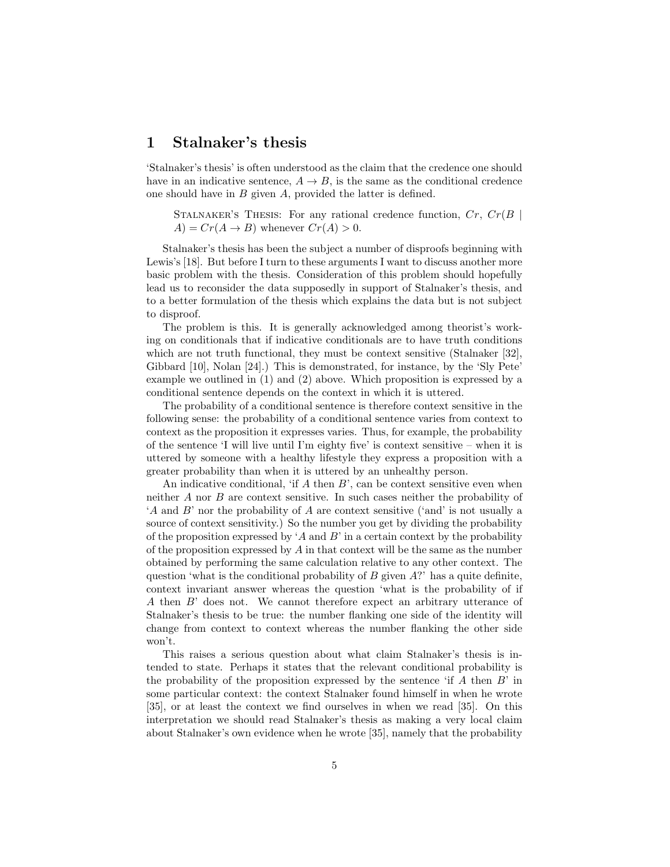## 1 Stalnaker's thesis

'Stalnaker's thesis' is often understood as the claim that the credence one should have in an indicative sentence,  $A \rightarrow B$ , is the same as the conditional credence one should have in B given A, provided the latter is defined.

STALNAKER'S THESIS: For any rational credence function,  $Cr, Cr(B)$  $A$ ) =  $Cr(A \rightarrow B)$  whenever  $Cr(A) > 0$ .

Stalnaker's thesis has been the subject a number of disproofs beginning with Lewis's [18]. But before I turn to these arguments I want to discuss another more basic problem with the thesis. Consideration of this problem should hopefully lead us to reconsider the data supposedly in support of Stalnaker's thesis, and to a better formulation of the thesis which explains the data but is not subject to disproof.

The problem is this. It is generally acknowledged among theorist's working on conditionals that if indicative conditionals are to have truth conditions which are not truth functional, they must be context sensitive (Stalnaker [32], Gibbard [10], Nolan [24].) This is demonstrated, for instance, by the 'Sly Pete' example we outlined in (1) and (2) above. Which proposition is expressed by a conditional sentence depends on the context in which it is uttered.

The probability of a conditional sentence is therefore context sensitive in the following sense: the probability of a conditional sentence varies from context to context as the proposition it expresses varies. Thus, for example, the probability of the sentence 'I will live until I'm eighty five' is context sensitive – when it is uttered by someone with a healthy lifestyle they express a proposition with a greater probability than when it is uttered by an unhealthy person.

An indicative conditional, 'if  $A$  then  $B$ ', can be context sensitive even when neither A nor B are context sensitive. In such cases neither the probability of 'A and B' nor the probability of A are context sensitive ('and' is not usually a source of context sensitivity.) So the number you get by dividing the probability of the proposition expressed by 'A and B' in a certain context by the probability of the proposition expressed by  $A$  in that context will be the same as the number obtained by performing the same calculation relative to any other context. The question 'what is the conditional probability of  $B$  given  $A$ ?' has a quite definite, context invariant answer whereas the question 'what is the probability of if A then B' does not. We cannot therefore expect an arbitrary utterance of Stalnaker's thesis to be true: the number flanking one side of the identity will change from context to context whereas the number flanking the other side won't.

This raises a serious question about what claim Stalnaker's thesis is intended to state. Perhaps it states that the relevant conditional probability is the probability of the proposition expressed by the sentence 'if  $A$  then  $B$ ' in some particular context: the context Stalnaker found himself in when he wrote [35], or at least the context we find ourselves in when we read [35]. On this interpretation we should read Stalnaker's thesis as making a very local claim about Stalnaker's own evidence when he wrote [35], namely that the probability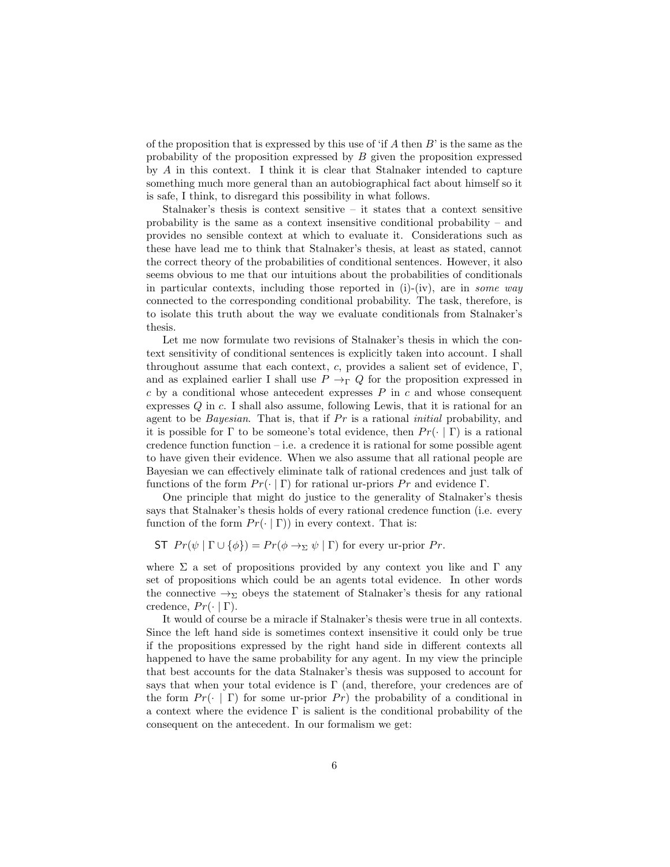of the proposition that is expressed by this use of 'if  $A$  then  $B$ ' is the same as the probability of the proposition expressed by  $B$  given the proposition expressed by A in this context. I think it is clear that Stalnaker intended to capture something much more general than an autobiographical fact about himself so it is safe, I think, to disregard this possibility in what follows.

Stalnaker's thesis is context sensitive – it states that a context sensitive probability is the same as a context insensitive conditional probability – and provides no sensible context at which to evaluate it. Considerations such as these have lead me to think that Stalnaker's thesis, at least as stated, cannot the correct theory of the probabilities of conditional sentences. However, it also seems obvious to me that our intuitions about the probabilities of conditionals in particular contexts, including those reported in (i)-(iv), are in some way connected to the corresponding conditional probability. The task, therefore, is to isolate this truth about the way we evaluate conditionals from Stalnaker's thesis.

Let me now formulate two revisions of Stalnaker's thesis in which the context sensitivity of conditional sentences is explicitly taken into account. I shall throughout assume that each context, c, provides a salient set of evidence,  $\Gamma$ , and as explained earlier I shall use  $P \rightarrow_{\Gamma} Q$  for the proposition expressed in  $c$  by a conditional whose antecedent expresses  $P$  in  $c$  and whose consequent expresses Q in c. I shall also assume, following Lewis, that it is rational for an agent to be *Bayesian*. That is, that if  $Pr$  is a rational *initial* probability, and it is possible for  $\Gamma$  to be someone's total evidence, then  $Pr(\cdot | \Gamma)$  is a rational credence function function  $-i.e.$  a credence it is rational for some possible agent to have given their evidence. When we also assume that all rational people are Bayesian we can effectively eliminate talk of rational credences and just talk of functions of the form  $Pr(\cdot | \Gamma)$  for rational ur-priors  $Pr$  and evidence  $\Gamma$ .

One principle that might do justice to the generality of Stalnaker's thesis says that Stalnaker's thesis holds of every rational credence function (i.e. every function of the form  $Pr(\cdot | \Gamma)$  in every context. That is:

ST  $Pr(\psi | \Gamma \cup \{\phi\}) = Pr(\phi \rightarrow \Sigma \psi | \Gamma)$  for every ur-prior  $Pr$ .

where  $\Sigma$  a set of propositions provided by any context you like and  $\Gamma$  any set of propositions which could be an agents total evidence. In other words the connective  $\rightarrow_{\Sigma}$  obeys the statement of Stalnaker's thesis for any rational credence,  $Pr(\cdot | \Gamma)$ .

It would of course be a miracle if Stalnaker's thesis were true in all contexts. Since the left hand side is sometimes context insensitive it could only be true if the propositions expressed by the right hand side in different contexts all happened to have the same probability for any agent. In my view the principle that best accounts for the data Stalnaker's thesis was supposed to account for says that when your total evidence is  $\Gamma$  (and, therefore, your credences are of the form  $Pr(\cdot | \Gamma)$  for some ur-prior  $Pr$ ) the probability of a conditional in a context where the evidence  $\Gamma$  is salient is the conditional probability of the consequent on the antecedent. In our formalism we get: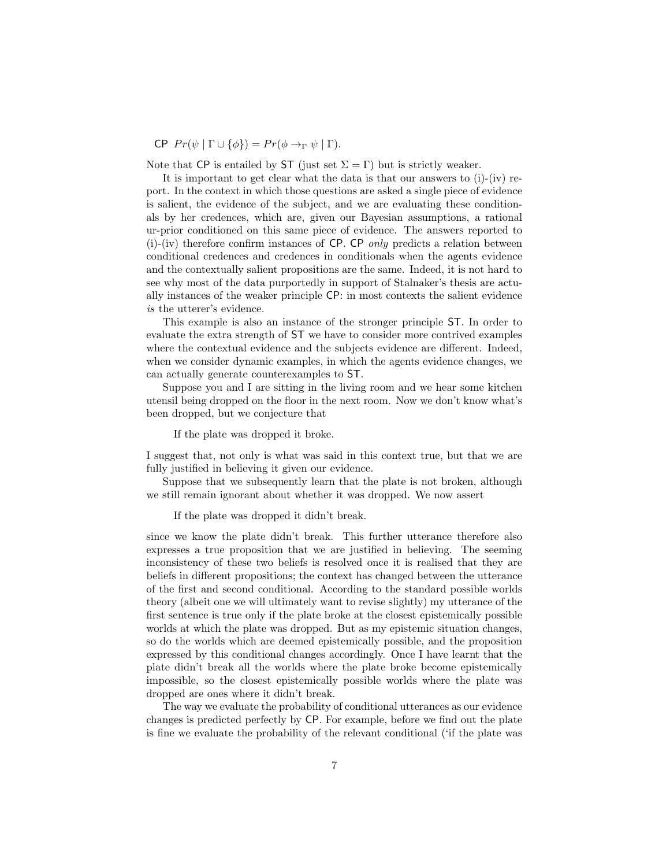CP  $Pr(\psi | \Gamma \cup \{\phi\}) = Pr(\phi \rightarrow_{\Gamma} \psi | \Gamma).$ 

Note that CP is entailed by ST (just set  $\Sigma = \Gamma$ ) but is strictly weaker.

It is important to get clear what the data is that our answers to  $(i)-(iv)$  report. In the context in which those questions are asked a single piece of evidence is salient, the evidence of the subject, and we are evaluating these conditionals by her credences, which are, given our Bayesian assumptions, a rational ur-prior conditioned on this same piece of evidence. The answers reported to  $(i)$ -(iv) therefore confirm instances of CP. CP *only* predicts a relation between conditional credences and credences in conditionals when the agents evidence and the contextually salient propositions are the same. Indeed, it is not hard to see why most of the data purportedly in support of Stalnaker's thesis are actually instances of the weaker principle CP: in most contexts the salient evidence is the utterer's evidence.

This example is also an instance of the stronger principle ST. In order to evaluate the extra strength of ST we have to consider more contrived examples where the contextual evidence and the subjects evidence are different. Indeed, when we consider dynamic examples, in which the agents evidence changes, we can actually generate counterexamples to ST.

Suppose you and I are sitting in the living room and we hear some kitchen utensil being dropped on the floor in the next room. Now we don't know what's been dropped, but we conjecture that

If the plate was dropped it broke.

I suggest that, not only is what was said in this context true, but that we are fully justified in believing it given our evidence.

Suppose that we subsequently learn that the plate is not broken, although we still remain ignorant about whether it was dropped. We now assert

If the plate was dropped it didn't break.

since we know the plate didn't break. This further utterance therefore also expresses a true proposition that we are justified in believing. The seeming inconsistency of these two beliefs is resolved once it is realised that they are beliefs in different propositions; the context has changed between the utterance of the first and second conditional. According to the standard possible worlds theory (albeit one we will ultimately want to revise slightly) my utterance of the first sentence is true only if the plate broke at the closest epistemically possible worlds at which the plate was dropped. But as my epistemic situation changes, so do the worlds which are deemed epistemically possible, and the proposition expressed by this conditional changes accordingly. Once I have learnt that the plate didn't break all the worlds where the plate broke become epistemically impossible, so the closest epistemically possible worlds where the plate was dropped are ones where it didn't break.

The way we evaluate the probability of conditional utterances as our evidence changes is predicted perfectly by CP. For example, before we find out the plate is fine we evaluate the probability of the relevant conditional ('if the plate was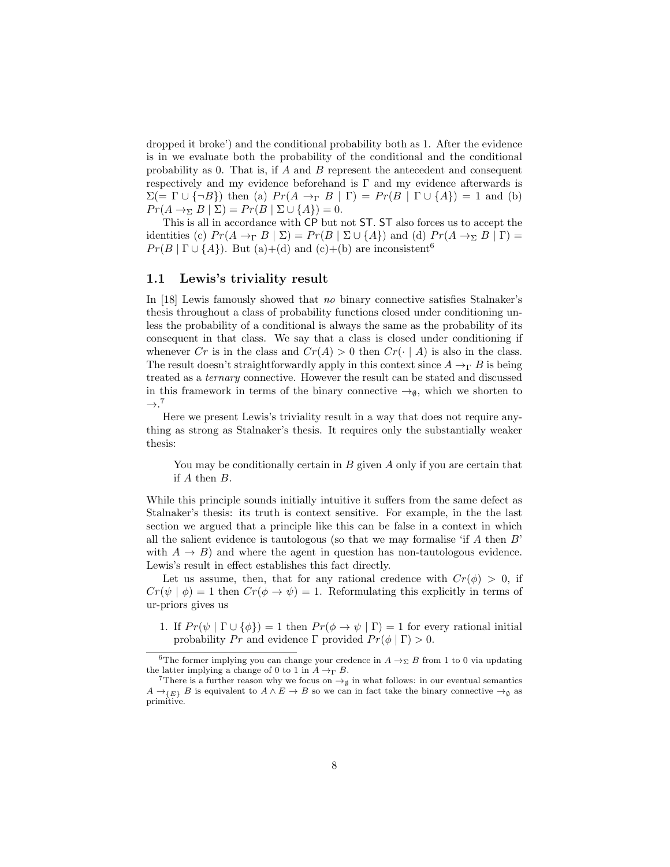dropped it broke') and the conditional probability both as 1. After the evidence is in we evaluate both the probability of the conditional and the conditional probability as 0. That is, if  $A$  and  $B$  represent the antecedent and consequent respectively and my evidence beforehand is  $\Gamma$  and my evidence afterwards is  $\Sigma (= \Gamma \cup {\{\neg B\}})$  then (a)  $Pr(A \rightarrow_{\Gamma} B | \Gamma) = Pr(B | \Gamma \cup {\{\} A\}) = 1$  and (b)  $Pr(A \rightarrow_{\Sigma} B \mid \Sigma) = Pr(B \mid \Sigma \cup \{A\}) = 0.$ 

This is all in accordance with CP but not ST. ST also forces us to accept the identities (c)  $Pr(A \to_{\Gamma} B \mid \Sigma) = Pr(B \mid \Sigma \cup \{A\})$  and (d)  $Pr(A \to_{\Sigma} B \mid \Gamma) =$  $Pr(B | \Gamma \cup \{A\})$ . But (a)+(d) and (c)+(b) are inconsistent<sup>6</sup>

### 1.1 Lewis's triviality result

In [18] Lewis famously showed that no binary connective satisfies Stalnaker's thesis throughout a class of probability functions closed under conditioning unless the probability of a conditional is always the same as the probability of its consequent in that class. We say that a class is closed under conditioning if whenever Cr is in the class and  $Cr(A) > 0$  then  $Cr(\cdot | A)$  is also in the class. The result doesn't straightforwardly apply in this context since  $A \rightarrow_{\Gamma} B$  is being treated as a ternary connective. However the result can be stated and discussed in this framework in terms of the binary connective  $\rightarrow_{\emptyset}$ , which we shorten to  $\rightarrow$ .<sup>7</sup>

Here we present Lewis's triviality result in a way that does not require anything as strong as Stalnaker's thesis. It requires only the substantially weaker thesis:

You may be conditionally certain in  $B$  given  $A$  only if you are certain that if A then B.

While this principle sounds initially intuitive it suffers from the same defect as Stalnaker's thesis: its truth is context sensitive. For example, in the the last section we argued that a principle like this can be false in a context in which all the salient evidence is tautologous (so that we may formalise 'if  $A$  then  $B$ ' with  $A \rightarrow B$ ) and where the agent in question has non-tautologous evidence. Lewis's result in effect establishes this fact directly.

Let us assume, then, that for any rational credence with  $Cr(\phi) > 0$ , if  $Cr(\psi | \phi) = 1$  then  $Cr(\phi \rightarrow \psi) = 1$ . Reformulating this explicitly in terms of ur-priors gives us

1. If  $Pr(\psi | \Gamma \cup \{\phi\}) = 1$  then  $Pr(\phi \rightarrow \psi | \Gamma) = 1$  for every rational initial probability Pr and evidence  $\Gamma$  provided  $Pr(\phi | \Gamma) > 0$ .

<sup>&</sup>lt;sup>6</sup>The former implying you can change your credence in  $A \rightarrow_{\Sigma} B$  from 1 to 0 via updating the latter implying a change of 0 to 1 in  $A \rightarrow_{\Gamma} B$ .

<sup>&</sup>lt;sup>7</sup>There is a further reason why we focus on  $\rightarrow$ <sub>Ø</sub> in what follows: in our eventual semantics  $A \to_{\{E\}} B$  is equivalent to  $A \wedge E \to B$  so we can in fact take the binary connective  $\to_{\emptyset}$  as primitive.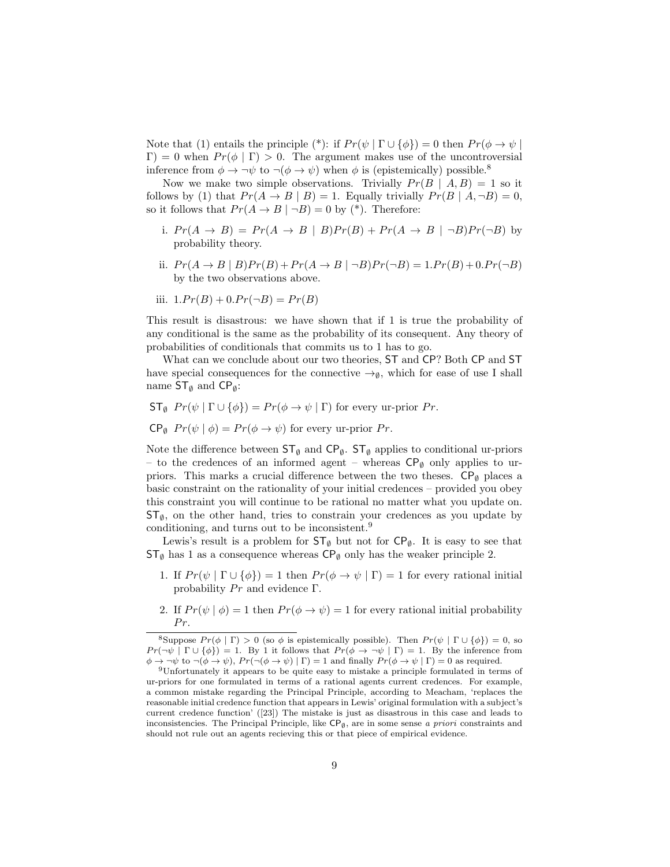Note that (1) entails the principle (\*): if  $Pr(\psi | \Gamma \cup \{\phi\}) = 0$  then  $Pr(\phi \to \psi |$  $Γ$ ) = 0 when  $Pr(\phi | Γ) > 0$ . The argument makes use of the uncontroversial inference from  $\phi \to \neg \psi$  to  $\neg (\phi \to \psi)$  when  $\phi$  is (epistemically) possible.<sup>8</sup>

Now we make two simple observations. Trivially  $Pr(B \mid A, B) = 1$  so it follows by (1) that  $Pr(A \rightarrow B | B) = 1$ . Equally trivially  $Pr(B | A, \neg B) = 0$ , so it follows that  $Pr(A \to B | \neg B) = 0$  by (\*). Therefore:

- i.  $Pr(A \rightarrow B) = Pr(A \rightarrow B | B)Pr(B) + Pr(A \rightarrow B | \neg B)Pr(\neg B)$  by probability theory.
- ii.  $Pr(A \to B | B)Pr(B) + Pr(A \to B | \neg B)Pr(\neg B) = 1.Pr(B) + 0.Pr(\neg B)$ by the two observations above.
- iii.  $1.Pr(B) + 0.Pr(\neg B) = Pr(B)$

This result is disastrous: we have shown that if 1 is true the probability of any conditional is the same as the probability of its consequent. Any theory of probabilities of conditionals that commits us to 1 has to go.

What can we conclude about our two theories, ST and CP? Both CP and ST have special consequences for the connective  $\rightarrow_{\emptyset}$ , which for ease of use I shall name  $ST_{\emptyset}$  and  $CP_{\emptyset}$ :

- $ST_{\emptyset}$   $Pr(\psi | \Gamma \cup {\emptyset}) = Pr(\phi \rightarrow \psi | \Gamma)$  for every ur-prior  $Pr$ .
- $\mathsf{CP}_{\emptyset}$   $Pr(\psi | \phi) = Pr(\phi \rightarrow \psi)$  for every ur-prior Pr.

Note the difference between  $ST_{\emptyset}$  and  $CP_{\emptyset}$ .  $ST_{\emptyset}$  applies to conditional ur-priors – to the credences of an informed agent – whereas  $\mathsf{CP}_{\emptyset}$  only applies to urpriors. This marks a crucial difference between the two theses.  $\mathsf{CP}_{\emptyset}$  places a basic constraint on the rationality of your initial credences – provided you obey this constraint you will continue to be rational no matter what you update on.  $ST_{\emptyset}$ , on the other hand, tries to constrain your credences as you update by conditioning, and turns out to be inconsistent.<sup>9</sup>

Lewis's result is a problem for  $ST_{\emptyset}$  but not for  $CP_{\emptyset}$ . It is easy to see that  $\mathsf{ST}_\emptyset$  has 1 as a consequence whereas  $\mathsf{CP}_\emptyset$  only has the weaker principle 2.

- 1. If  $Pr(\psi | \Gamma \cup \{\phi\}) = 1$  then  $Pr(\phi \rightarrow \psi | \Gamma) = 1$  for every rational initial probability  $Pr$  and evidence  $\Gamma$ .
- 2. If  $Pr(\psi | \phi) = 1$  then  $Pr(\phi \to \psi) = 1$  for every rational initial probability  $Pr.$

<sup>&</sup>lt;sup>8</sup>Suppose  $Pr(\phi | \Gamma) > 0$  (so  $\phi$  is epistemically possible). Then  $Pr(\psi | \Gamma \cup {\phi}) = 0$ , so  $Pr(\neg \psi \mid \Gamma \cup \{\phi\}) = 1$ . By 1 it follows that  $Pr(\phi \to \neg \psi \mid \Gamma) = 1$ . By the inference from  $\phi \to \neg \psi$  to  $\neg(\phi \to \psi)$ ,  $Pr(\neg(\phi \to \psi) | \Gamma) = 1$  and finally  $Pr(\phi \to \psi | \Gamma) = 0$  as required.

<sup>9</sup>Unfortunately it appears to be quite easy to mistake a principle formulated in terms of ur-priors for one formulated in terms of a rational agents current credences. For example, a common mistake regarding the Principal Principle, according to Meacham, 'replaces the reasonable initial credence function that appears in Lewis' original formulation with a subject's current credence function' ([23]) The mistake is just as disastrous in this case and leads to inconsistencies. The Principal Principle, like  $\mathsf{CP}_{\emptyset}$ , are in some sense a priori constraints and should not rule out an agents recieving this or that piece of empirical evidence.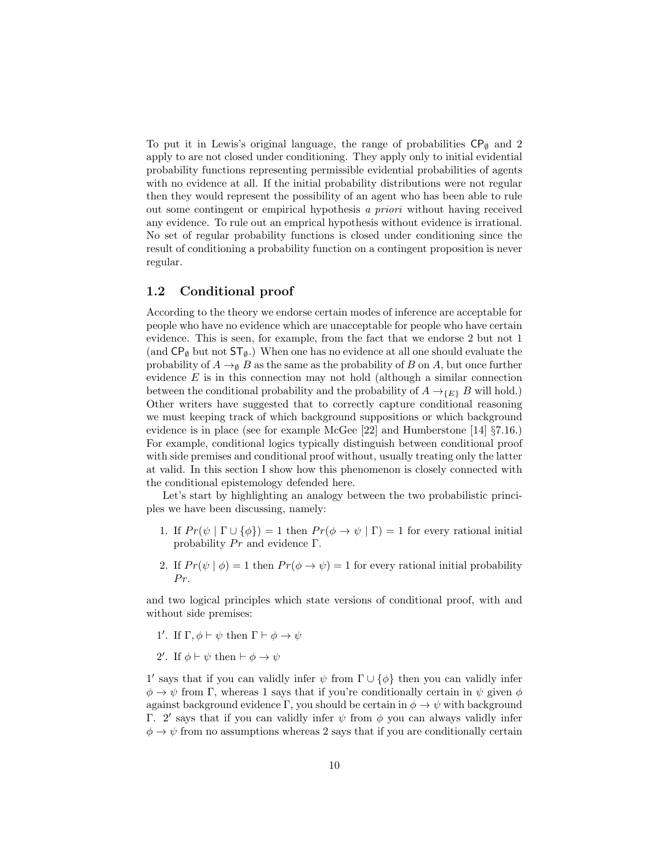To put it in Lewis's original language, the range of probabilities  $\mathsf{CP}_{\emptyset}$  and 2 apply to are not closed under conditioning. They apply only to initial evidential probability functions representing permissible evidential probabilities of agents with no evidence at all. If the initial probability distributions were not regular then they would represent the possibility of an agent who has been able to rule out some contingent or empirical hypothesis a priori without having received any evidence. To rule out an emprical hypothesis without evidence is irrational. No set of regular probability functions is closed under conditioning since the result of conditioning a probability function on a contingent proposition is never regular.

## 1.2 Conditional proof

According to the theory we endorse certain modes of inference are acceptable for people who have no evidence which are unacceptable for people who have certain evidence. This is seen, for example, from the fact that we endorse 2 but not 1 (and  $\mathsf{CP}_{\emptyset}$  but not  $\mathsf{ST}_{\emptyset}$ .) When one has no evidence at all one should evaluate the probability of  $A \to_{\emptyset} B$  as the same as the probability of B on A, but once further evidence  $E$  is in this connection may not hold (although a similar connection between the conditional probability and the probability of  $A \rightarrow_{\{E\}} B$  will hold.) Other writers have suggested that to correctly capture conditional reasoning we must keeping track of which background suppositions or which background evidence is in place (see for example McGee [22] and Humberstone [14] §7.16.) For example, conditional logics typically distinguish between conditional proof with side premises and conditional proof without, usually treating only the latter at valid. In this section I show how this phenomenon is closely connected with the conditional epistemology defended here.

Let's start by highlighting an analogy between the two probabilistic principles we have been discussing, namely:

- 1. If  $Pr(\psi | \Gamma \cup \{\phi\}) = 1$  then  $Pr(\phi \rightarrow \psi | \Gamma) = 1$  for every rational initial probability  $Pr$  and evidence  $\Gamma$ .
- 2. If  $Pr(\psi | \phi) = 1$  then  $Pr(\phi \rightarrow \psi) = 1$  for every rational initial probability  $Pr.$

and two logical principles which state versions of conditional proof, with and without side premises:

- 1'. If  $\Gamma$ ,  $\phi \vdash \psi$  then  $\Gamma \vdash \phi \rightarrow \psi$
- 2'. If  $\phi \vdash \psi$  then  $\vdash \phi \rightarrow \psi$

1' says that if you can validly infer  $\psi$  from  $\Gamma \cup {\phi}$  then you can validly infer  $\phi \rightarrow \psi$  from Γ, whereas 1 says that if you're conditionally certain in  $\psi$  given  $\phi$ against background evidence Γ, you should be certain in  $\phi \to \psi$  with background Γ. 2' says that if you can validly infer  $ψ$  from  $φ$  you can always validly infer  $\phi \rightarrow \psi$  from no assumptions whereas 2 says that if you are conditionally certain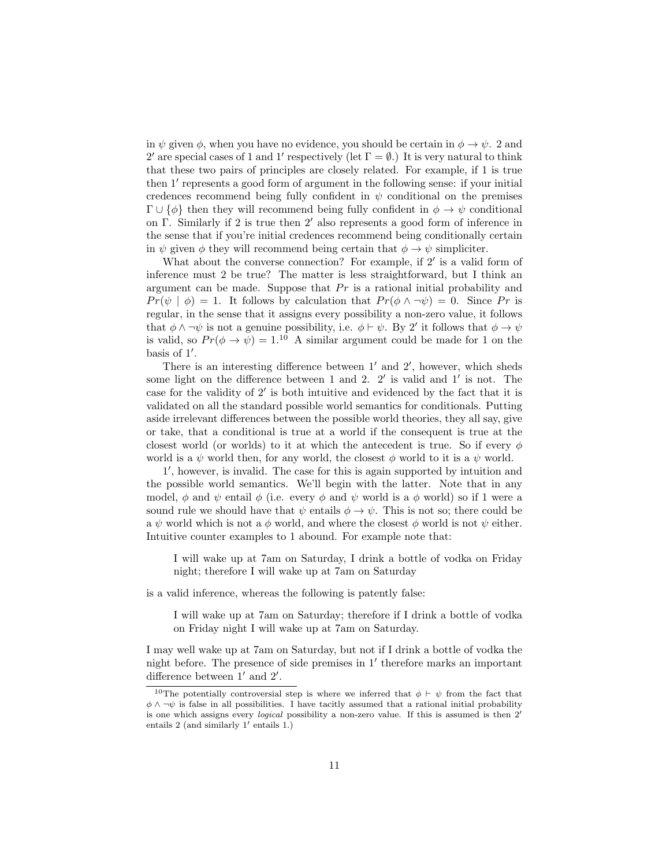in  $\psi$  given  $\phi$ , when you have no evidence, you should be certain in  $\phi \to \psi$ . 2 and 2' are special cases of 1 and 1' respectively (let  $\Gamma = \emptyset$ .) It is very natural to think that these two pairs of principles are closely related. For example, if 1 is true then 1' represents a good form of argument in the following sense: if your initial credences recommend being fully confident in  $\psi$  conditional on the premises  $\Gamma \cup {\phi}$  then they will recommend being fully confident in  $\phi \to \psi$  conditional on Γ. Similarly if 2 is true then  $2'$  also represents a good form of inference in the sense that if you're initial credences recommend being conditionally certain in  $\psi$  given  $\phi$  they will recommend being certain that  $\phi \to \psi$  simpliciter.

What about the converse connection? For example, if  $2'$  is a valid form of inference must 2 be true? The matter is less straightforward, but I think an argument can be made. Suppose that  $Pr$  is a rational initial probability and  $Pr(\psi \mid \phi) = 1$ . It follows by calculation that  $Pr(\phi \land \neg \psi) = 0$ . Since Pr is regular, in the sense that it assigns every possibility a non-zero value, it follows that  $\phi \land \neg \psi$  is not a genuine possibility, i.e.  $\phi \vdash \psi$ . By 2' it follows that  $\phi \to \psi$ is valid, so  $Pr(\phi \to \psi) = 1^{10}$  A similar argument could be made for 1 on the basis of 1'.

There is an interesting difference between  $1'$  and  $2'$ , however, which sheds some light on the difference between  $1$  and  $2$ .  $2'$  is valid and  $1'$  is not. The case for the validity of  $2'$  is both intuitive and evidenced by the fact that it is validated on all the standard possible world semantics for conditionals. Putting aside irrelevant differences between the possible world theories, they all say, give or take, that a conditional is true at a world if the consequent is true at the closest world (or worlds) to it at which the antecedent is true. So if every  $\phi$ world is a  $\psi$  world then, for any world, the closest  $\phi$  world to it is a  $\psi$  world.

1', however, is invalid. The case for this is again supported by intuition and the possible world semantics. We'll begin with the latter. Note that in any model, φ and  $\psi$  entail φ (i.e. every φ and  $\psi$  world is a φ world) so if 1 were a sound rule we should have that  $\psi$  entails  $\phi \to \psi$ . This is not so; there could be a  $\psi$  world which is not a  $\phi$  world, and where the closest  $\phi$  world is not  $\psi$  either. Intuitive counter examples to 1 abound. For example note that:

I will wake up at 7am on Saturday, I drink a bottle of vodka on Friday night; therefore I will wake up at 7am on Saturday

is a valid inference, whereas the following is patently false:

I will wake up at 7am on Saturday; therefore if I drink a bottle of vodka on Friday night I will wake up at 7am on Saturday.

I may well wake up at 7am on Saturday, but not if I drink a bottle of vodka the night before. The presence of side premises in  $1'$  therefore marks an important difference between  $1'$  and  $2'$ .

<sup>&</sup>lt;sup>10</sup>The potentially controversial step is where we inferred that  $\phi \vdash \psi$  from the fact that  $\phi \wedge \neg \psi$  is false in all possibilities. I have tacitly assumed that a rational initial probability is one which assigns every *logical* possibility a non-zero value. If this is assumed is then  $2<sup>7</sup>$ entails 2 (and similarly  $1'$  entails 1.)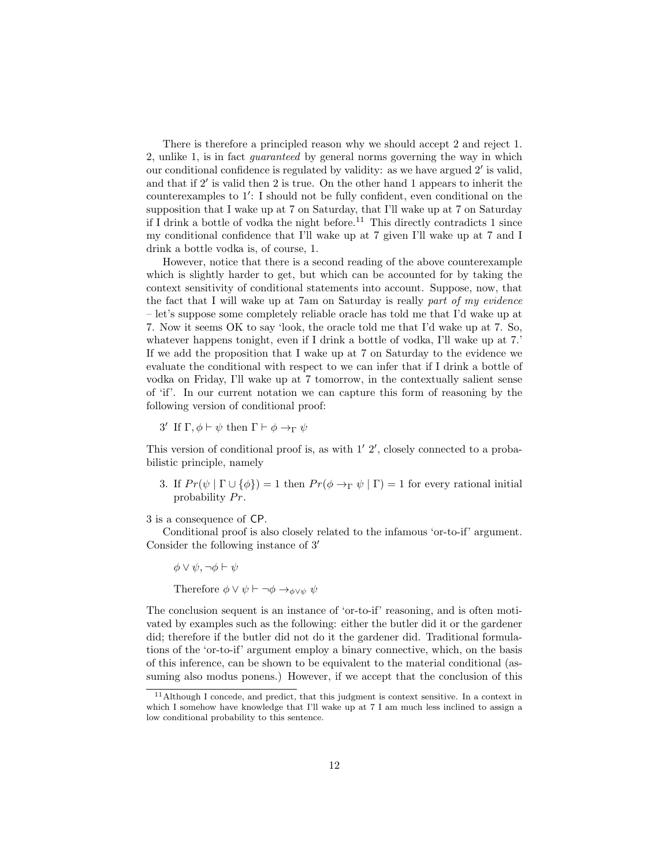There is therefore a principled reason why we should accept 2 and reject 1. 2, unlike 1, is in fact guaranteed by general norms governing the way in which our conditional confidence is regulated by validity: as we have argued  $2'$  is valid, and that if  $2'$  is valid then  $2$  is true. On the other hand 1 appears to inherit the counterexamples to  $1'$ : I should not be fully confident, even conditional on the supposition that I wake up at 7 on Saturday, that I'll wake up at 7 on Saturday if I drink a bottle of vodka the night before.<sup>11</sup> This directly contradicts 1 since my conditional confidence that I'll wake up at 7 given I'll wake up at 7 and I drink a bottle vodka is, of course, 1.

However, notice that there is a second reading of the above counterexample which is slightly harder to get, but which can be accounted for by taking the context sensitivity of conditional statements into account. Suppose, now, that the fact that I will wake up at 7am on Saturday is really part of my evidence – let's suppose some completely reliable oracle has told me that I'd wake up at 7. Now it seems OK to say 'look, the oracle told me that I'd wake up at 7. So, whatever happens tonight, even if I drink a bottle of vodka, I'll wake up at 7.' If we add the proposition that I wake up at 7 on Saturday to the evidence we evaluate the conditional with respect to we can infer that if I drink a bottle of vodka on Friday, I'll wake up at 7 tomorrow, in the contextually salient sense of 'if'. In our current notation we can capture this form of reasoning by the following version of conditional proof:

3' If  $\Gamma, \phi \vdash \psi$  then  $\Gamma \vdash \phi \rightarrow_{\Gamma} \psi$ 

This version of conditional proof is, as with  $1'$   $2'$ , closely connected to a probabilistic principle, namely

3. If  $Pr(\psi | \Gamma \cup \{\phi\}) = 1$  then  $Pr(\phi \rightarrow_{\Gamma} \psi | \Gamma) = 1$  for every rational initial probability  $Pr$ .

3 is a consequence of CP.

Conditional proof is also closely related to the infamous 'or-to-if' argument. Consider the following instance of  $3'$ 

 $\phi \vee \psi$ ,  $\neg \phi \vdash \psi$ 

Therefore  $\phi \vee \psi \vdash \neg \phi \rightarrow_{\phi \vee \psi} \psi$ 

The conclusion sequent is an instance of 'or-to-if' reasoning, and is often motivated by examples such as the following: either the butler did it or the gardener did; therefore if the butler did not do it the gardener did. Traditional formulations of the 'or-to-if' argument employ a binary connective, which, on the basis of this inference, can be shown to be equivalent to the material conditional (assuming also modus ponens.) However, if we accept that the conclusion of this

<sup>11</sup>Although I concede, and predict, that this judgment is context sensitive. In a context in which I somehow have knowledge that I'll wake up at 7 I am much less inclined to assign a low conditional probability to this sentence.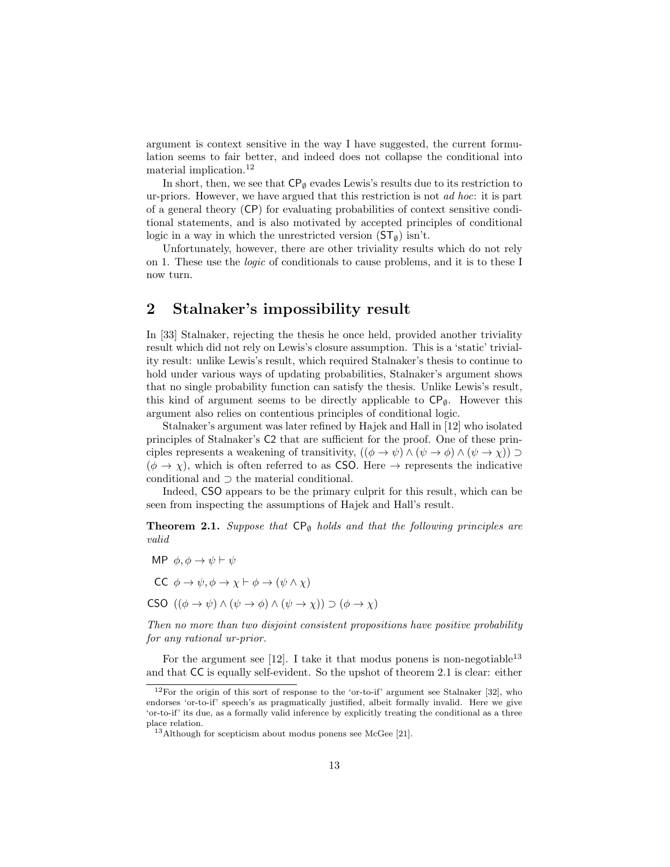argument is context sensitive in the way I have suggested, the current formulation seems to fair better, and indeed does not collapse the conditional into material implication.<sup>12</sup>

In short, then, we see that  $\mathsf{CP}_{\emptyset}$  evades Lewis's results due to its restriction to ur-priors. However, we have argued that this restriction is not ad hoc: it is part of a general theory (CP) for evaluating probabilities of context sensitive conditional statements, and is also motivated by accepted principles of conditional logic in a way in which the unrestricted version  $(ST_{\emptyset})$  isn't.

Unfortunately, however, there are other triviality results which do not rely on 1. These use the logic of conditionals to cause problems, and it is to these I now turn.

## 2 Stalnaker's impossibility result

In [33] Stalnaker, rejecting the thesis he once held, provided another triviality result which did not rely on Lewis's closure assumption. This is a 'static' triviality result: unlike Lewis's result, which required Stalnaker's thesis to continue to hold under various ways of updating probabilities, Stalnaker's argument shows that no single probability function can satisfy the thesis. Unlike Lewis's result, this kind of argument seems to be directly applicable to  $\mathsf{CP}_{\emptyset}$ . However this argument also relies on contentious principles of conditional logic.

Stalnaker's argument was later refined by Hajek and Hall in [12] who isolated principles of Stalnaker's C2 that are sufficient for the proof. One of these principles represents a weakening of transitivity,  $((\phi \to \psi) \land (\psi \to \phi) \land (\psi \to \chi)) \supset$  $(\phi \rightarrow \chi)$ , which is often referred to as CSO. Here  $\rightarrow$  represents the indicative conditional and ⊃ the material conditional.

Indeed, CSO appears to be the primary culprit for this result, which can be seen from inspecting the assumptions of Hajek and Hall's result.

**Theorem 2.1.** Suppose that  $\mathsf{CP}_{\emptyset}$  holds and that the following principles are valid

MP  $\phi, \phi \rightarrow \psi \vdash \psi$ CC  $\phi \to \psi, \phi \to \chi \vdash \phi \to (\psi \land \chi)$ CSO  $((\phi \rightarrow \psi) \land (\psi \rightarrow \phi) \land (\psi \rightarrow \chi)) \supset (\phi \rightarrow \chi)$ 

Then no more than two disjoint consistent propositions have positive probability for any rational ur-prior.

For the argument see [12]. I take it that modus ponens is non-negotiable<sup>13</sup> and that CC is equally self-evident. So the upshot of theorem 2.1 is clear: either

<sup>&</sup>lt;sup>12</sup>For the origin of this sort of response to the 'or-to-if' argument see Stalnaker [32], who endorses 'or-to-if' speech's as pragmatically justified, albeit formally invalid. Here we give 'or-to-if' its due, as a formally valid inference by explicitly treating the conditional as a three place relation.

<sup>13</sup>Although for scepticism about modus ponens see McGee [21].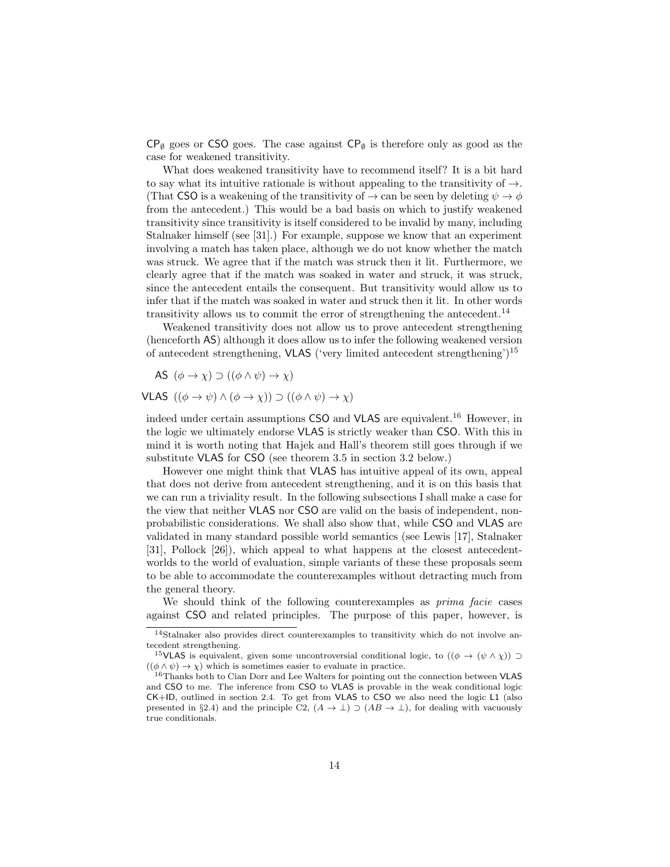$CP_{\emptyset}$  goes or CSO goes. The case against  $CP_{\emptyset}$  is therefore only as good as the case for weakened transitivity.

What does weakened transitivity have to recommend itself? It is a bit hard to say what its intuitive rationale is without appealing to the transitivity of  $\rightarrow$ . (That CSO is a weakening of the transitivity of  $\rightarrow$  can be seen by deleting  $\psi \rightarrow \phi$ from the antecedent.) This would be a bad basis on which to justify weakened transitivity since transitivity is itself considered to be invalid by many, including Stalnaker himself (see [31].) For example, suppose we know that an experiment involving a match has taken place, although we do not know whether the match was struck. We agree that if the match was struck then it lit. Furthermore, we clearly agree that if the match was soaked in water and struck, it was struck, since the antecedent entails the consequent. But transitivity would allow us to infer that if the match was soaked in water and struck then it lit. In other words transitivity allows us to commit the error of strengthening the antecedent.<sup>14</sup>

Weakened transitivity does not allow us to prove antecedent strengthening (henceforth AS) although it does allow us to infer the following weakened version of antecedent strengthening, VLAS ('very limited antecedent strengthening')<sup>15</sup>

AS  $(\phi \to \chi) \supset ((\phi \land \psi) \to \chi)$ 

VLAS  $((\phi \rightarrow \psi) \land (\phi \rightarrow \chi)) \supset ((\phi \land \psi) \rightarrow \chi)$ 

indeed under certain assumptions CSO and VLAS are equivalent.<sup>16</sup> However, in the logic we ultimately endorse VLAS is strictly weaker than CSO. With this in mind it is worth noting that Hajek and Hall's theorem still goes through if we substitute VLAS for CSO (see theorem 3.5 in section 3.2 below.)

However one might think that VLAS has intuitive appeal of its own, appeal that does not derive from antecedent strengthening, and it is on this basis that we can run a triviality result. In the following subsections I shall make a case for the view that neither VLAS nor CSO are valid on the basis of independent, nonprobabilistic considerations. We shall also show that, while CSO and VLAS are validated in many standard possible world semantics (see Lewis [17], Stalnaker [31], Pollock [26]), which appeal to what happens at the closest antecedentworlds to the world of evaluation, simple variants of these these proposals seem to be able to accommodate the counterexamples without detracting much from the general theory.

We should think of the following counterexamples as *prima facie* cases against CSO and related principles. The purpose of this paper, however, is

<sup>14</sup>Stalnaker also provides direct counterexamples to transitivity which do not involve antecedent strengthening.

<sup>&</sup>lt;sup>15</sup>VLAS is equivalent, given some uncontroversial conditional logic, to  $((\phi \rightarrow (\psi \land \chi))$  $((\phi \land \psi) \to \chi)$  which is sometimes easier to evaluate in practice.

<sup>&</sup>lt;sup>16</sup>Thanks both to Cian Dorr and Lee Walters for pointing out the connection between VLAS and CSO to me. The inference from CSO to VLAS is provable in the weak conditional logic CK+ID, outlined in section 2.4. To get from VLAS to CSO we also need the logic L1 (also presented in §2.4) and the principle C2,  $(A \to \bot) \supset (AB \to \bot)$ , for dealing with vacuously true conditionals.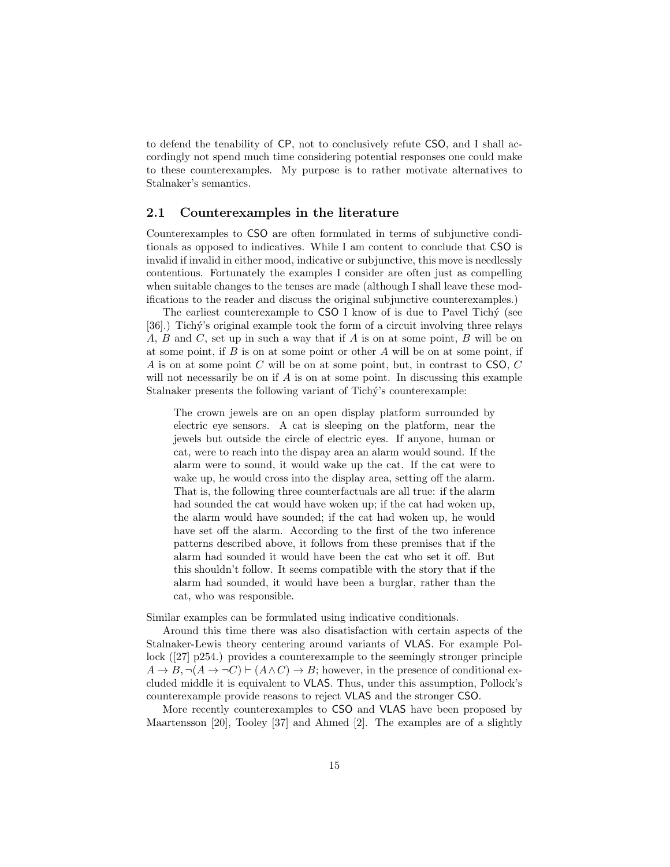to defend the tenability of CP, not to conclusively refute CSO, and I shall accordingly not spend much time considering potential responses one could make to these counterexamples. My purpose is to rather motivate alternatives to Stalnaker's semantics.

#### 2.1 Counterexamples in the literature

Counterexamples to CSO are often formulated in terms of subjunctive conditionals as opposed to indicatives. While I am content to conclude that CSO is invalid if invalid in either mood, indicative or subjunctive, this move is needlessly contentious. Fortunately the examples I consider are often just as compelling when suitable changes to the tenses are made (although I shall leave these modifications to the reader and discuss the original subjunctive counterexamples.)

The earliest counterexample to CSO I know of is due to Pavel Tichy (see [36].) Tichý's original example took the form of a circuit involving three relays A, B and C, set up in such a way that if A is on at some point, B will be on at some point, if  $B$  is on at some point or other  $A$  will be on at some point, if A is on at some point C will be on at some point, but, in contrast to  $\mathsf{CSO}, C$ will not necessarily be on if  $A$  is on at some point. In discussing this example Stalnaker presents the following variant of Tichý's counterexample:

The crown jewels are on an open display platform surrounded by electric eye sensors. A cat is sleeping on the platform, near the jewels but outside the circle of electric eyes. If anyone, human or cat, were to reach into the dispay area an alarm would sound. If the alarm were to sound, it would wake up the cat. If the cat were to wake up, he would cross into the display area, setting off the alarm. That is, the following three counterfactuals are all true: if the alarm had sounded the cat would have woken up; if the cat had woken up, the alarm would have sounded; if the cat had woken up, he would have set off the alarm. According to the first of the two inference patterns described above, it follows from these premises that if the alarm had sounded it would have been the cat who set it off. But this shouldn't follow. It seems compatible with the story that if the alarm had sounded, it would have been a burglar, rather than the cat, who was responsible.

Similar examples can be formulated using indicative conditionals.

Around this time there was also disatisfaction with certain aspects of the Stalnaker-Lewis theory centering around variants of VLAS. For example Pollock ([27] p254.) provides a counterexample to the seemingly stronger principle  $A \to B$ ,  $\neg(A \to \neg C) \vdash (A \land C) \to B$ ; however, in the presence of conditional excluded middle it is equivalent to VLAS. Thus, under this assumption, Pollock's counterexample provide reasons to reject VLAS and the stronger CSO.

More recently counterexamples to CSO and VLAS have been proposed by Maartensson [20], Tooley [37] and Ahmed [2]. The examples are of a slightly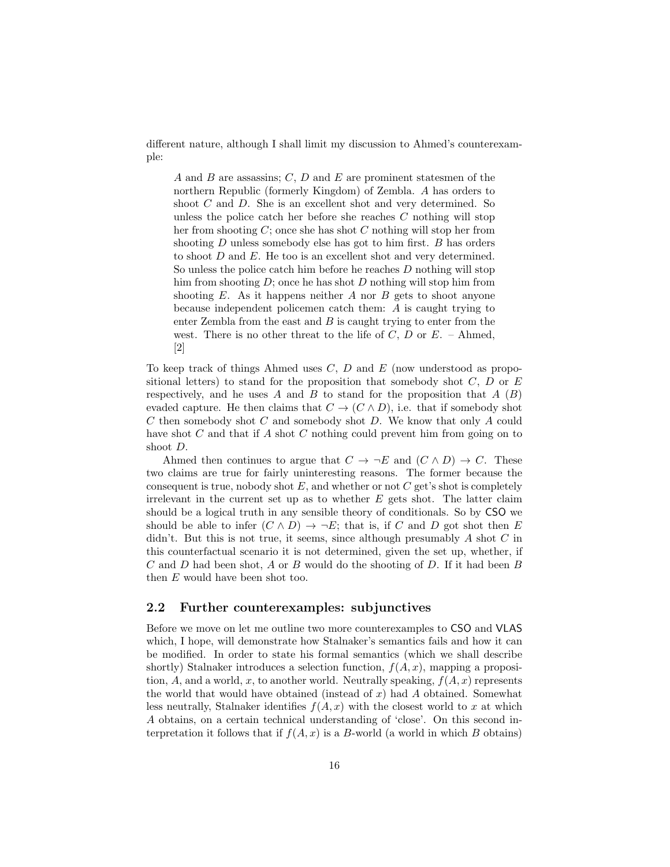different nature, although I shall limit my discussion to Ahmed's counterexample:

A and B are assassins;  $C, D$  and E are prominent statesmen of the northern Republic (formerly Kingdom) of Zembla. A has orders to shoot C and D. She is an excellent shot and very determined. So unless the police catch her before she reaches C nothing will stop her from shooting C; once she has shot C nothing will stop her from shooting  $D$  unless somebody else has got to him first.  $B$  has orders to shoot  $D$  and  $E$ . He too is an excellent shot and very determined. So unless the police catch him before he reaches D nothing will stop him from shooting  $D$ ; once he has shot  $D$  nothing will stop him from shooting  $E$ . As it happens neither  $A$  nor  $B$  gets to shoot anyone because independent policemen catch them: A is caught trying to enter Zembla from the east and  $B$  is caught trying to enter from the west. There is no other threat to the life of C, D or  $E$ . – Ahmed, [2]

To keep track of things Ahmed uses  $C, D$  and  $E$  (now understood as propositional letters) to stand for the proposition that somebody shot  $C, D$  or  $E$ respectively, and he uses A and B to stand for the proposition that  $A(B)$ evaded capture. He then claims that  $C \to (C \wedge D)$ , i.e. that if somebody shot  $C$  then somebody shot  $C$  and somebody shot  $D$ . We know that only  $A$  could have shot C and that if A shot C nothing could prevent him from going on to shoot D.

Ahmed then continues to argue that  $C \to \neg E$  and  $(C \wedge D) \to C$ . These two claims are true for fairly uninteresting reasons. The former because the consequent is true, nobody shot  $E$ , and whether or not  $C$  get's shot is completely irrelevant in the current set up as to whether  $E$  gets shot. The latter claim should be a logical truth in any sensible theory of conditionals. So by CSO we should be able to infer  $(C \wedge D) \rightarrow \neg E$ ; that is, if C and D got shot then E didn't. But this is not true, it seems, since although presumably  $A$  shot  $C$  in this counterfactual scenario it is not determined, given the set up, whether, if  $C$  and  $D$  had been shot,  $A$  or  $B$  would do the shooting of  $D$ . If it had been  $B$ then E would have been shot too.

## 2.2 Further counterexamples: subjunctives

Before we move on let me outline two more counterexamples to CSO and VLAS which, I hope, will demonstrate how Stalnaker's semantics fails and how it can be modified. In order to state his formal semantics (which we shall describe shortly) Stalnaker introduces a selection function,  $f(A, x)$ , mapping a proposition, A, and a world, x, to another world. Neutrally speaking,  $f(A, x)$  represents the world that would have obtained (instead of  $x$ ) had  $A$  obtained. Somewhat less neutrally, Stalnaker identifies  $f(A, x)$  with the closest world to x at which A obtains, on a certain technical understanding of 'close'. On this second interpretation it follows that if  $f(A, x)$  is a B-world (a world in which B obtains)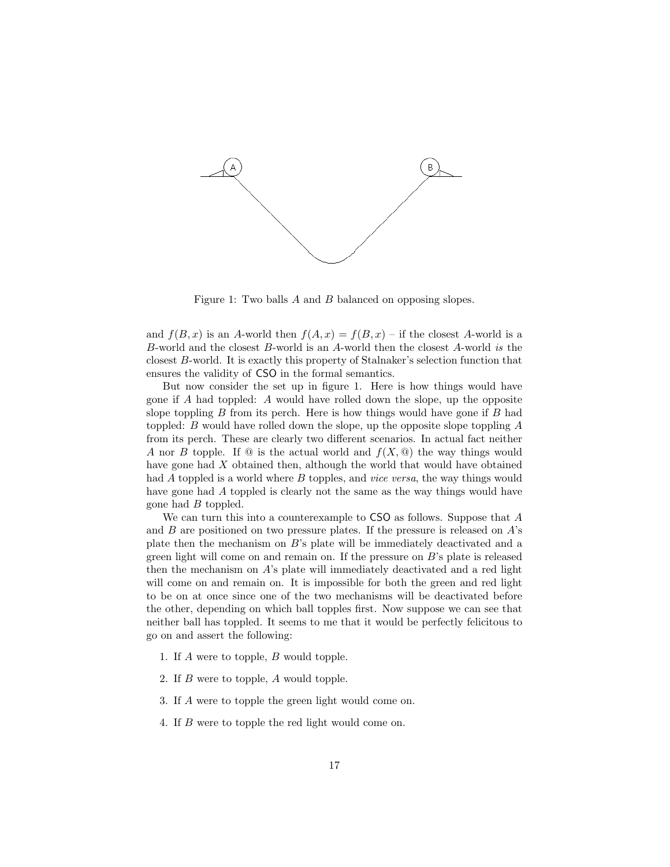

Figure 1: Two balls A and B balanced on opposing slopes.

and  $f(B, x)$  is an A-world then  $f(A, x) = f(B, x)$  – if the closest A-world is a B-world and the closest B-world is an A-world then the closest A-world is the closest B-world. It is exactly this property of Stalnaker's selection function that ensures the validity of CSO in the formal semantics.

But now consider the set up in figure 1. Here is how things would have gone if A had toppled: A would have rolled down the slope, up the opposite slope toppling  $B$  from its perch. Here is how things would have gone if  $B$  had toppled: B would have rolled down the slope, up the opposite slope toppling A from its perch. These are clearly two different scenarios. In actual fact neither A nor B topple. If  $\mathcal Q$  is the actual world and  $f(X, \mathcal Q)$  the way things would have gone had X obtained then, although the world that would have obtained had A toppled is a world where B topples, and *vice versa*, the way things would have gone had A toppled is clearly not the same as the way things would have gone had B toppled.

We can turn this into a counterexample to CSO as follows. Suppose that A and  $B$  are positioned on two pressure plates. If the pressure is released on  $A$ 's plate then the mechanism on B's plate will be immediately deactivated and a green light will come on and remain on. If the pressure on B's plate is released then the mechanism on  $A$ 's plate will immediately deactivated and a red light will come on and remain on. It is impossible for both the green and red light to be on at once since one of the two mechanisms will be deactivated before the other, depending on which ball topples first. Now suppose we can see that neither ball has toppled. It seems to me that it would be perfectly felicitous to go on and assert the following:

- 1. If A were to topple, B would topple.
- 2. If B were to topple, A would topple.
- 3. If A were to topple the green light would come on.
- 4. If B were to topple the red light would come on.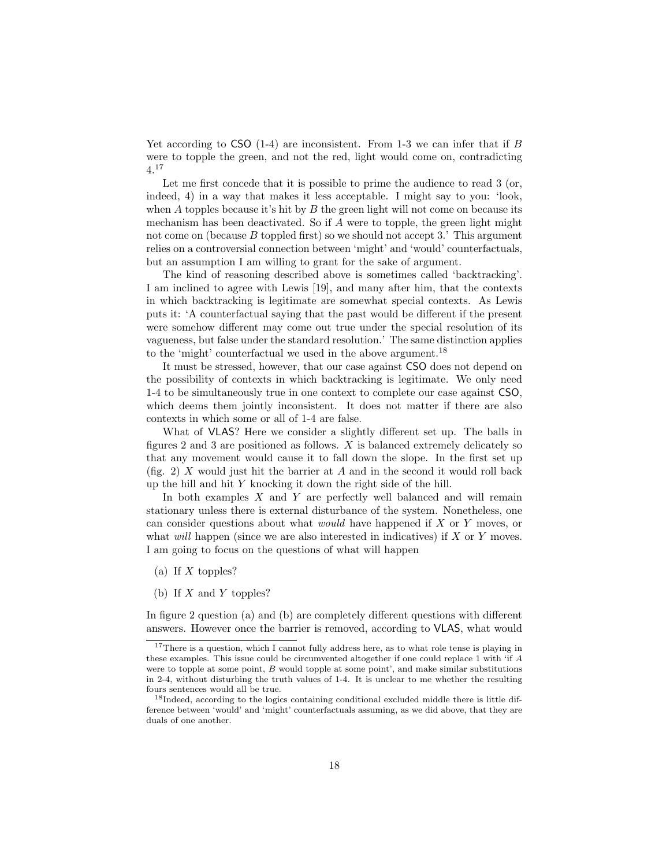Yet according to CSO  $(1-4)$  are inconsistent. From 1-3 we can infer that if B were to topple the green, and not the red, light would come on, contradicting 4.<sup>17</sup>

Let me first concede that it is possible to prime the audience to read 3 (or, indeed, 4) in a way that makes it less acceptable. I might say to you: 'look, when  $A$  topples because it's hit by  $B$  the green light will not come on because its mechanism has been deactivated. So if A were to topple, the green light might not come on (because  $B$  toppled first) so we should not accept 3.' This argument relies on a controversial connection between 'might' and 'would' counterfactuals, but an assumption I am willing to grant for the sake of argument.

The kind of reasoning described above is sometimes called 'backtracking'. I am inclined to agree with Lewis [19], and many after him, that the contexts in which backtracking is legitimate are somewhat special contexts. As Lewis puts it: 'A counterfactual saying that the past would be different if the present were somehow different may come out true under the special resolution of its vagueness, but false under the standard resolution.' The same distinction applies to the 'might' counterfactual we used in the above argument.<sup>18</sup>

It must be stressed, however, that our case against CSO does not depend on the possibility of contexts in which backtracking is legitimate. We only need 1-4 to be simultaneously true in one context to complete our case against CSO, which deems them jointly inconsistent. It does not matter if there are also contexts in which some or all of 1-4 are false.

What of VLAS? Here we consider a slightly different set up. The balls in figures 2 and 3 are positioned as follows.  $X$  is balanced extremely delicately so that any movement would cause it to fall down the slope. In the first set up (fig. 2) X would just hit the barrier at A and in the second it would roll back up the hill and hit Y knocking it down the right side of the hill.

In both examples  $X$  and  $Y$  are perfectly well balanced and will remain stationary unless there is external disturbance of the system. Nonetheless, one can consider questions about what would have happened if X or Y moves, or what *will* happen (since we are also interested in indicatives) if  $X$  or  $Y$  moves. I am going to focus on the questions of what will happen

- (a) If  $X$  topples?
- (b) If  $X$  and  $Y$  topples?

In figure 2 question (a) and (b) are completely different questions with different answers. However once the barrier is removed, according to VLAS, what would

<sup>&</sup>lt;sup>17</sup>There is a question, which I cannot fully address here, as to what role tense is playing in these examples. This issue could be circumvented altogether if one could replace 1 with 'if A were to topple at some point,  $B$  would topple at some point', and make similar substitutions in 2-4, without disturbing the truth values of 1-4. It is unclear to me whether the resulting fours sentences would all be true.

<sup>&</sup>lt;sup>18</sup>Indeed, according to the logics containing conditional excluded middle there is little difference between 'would' and 'might' counterfactuals assuming, as we did above, that they are duals of one another.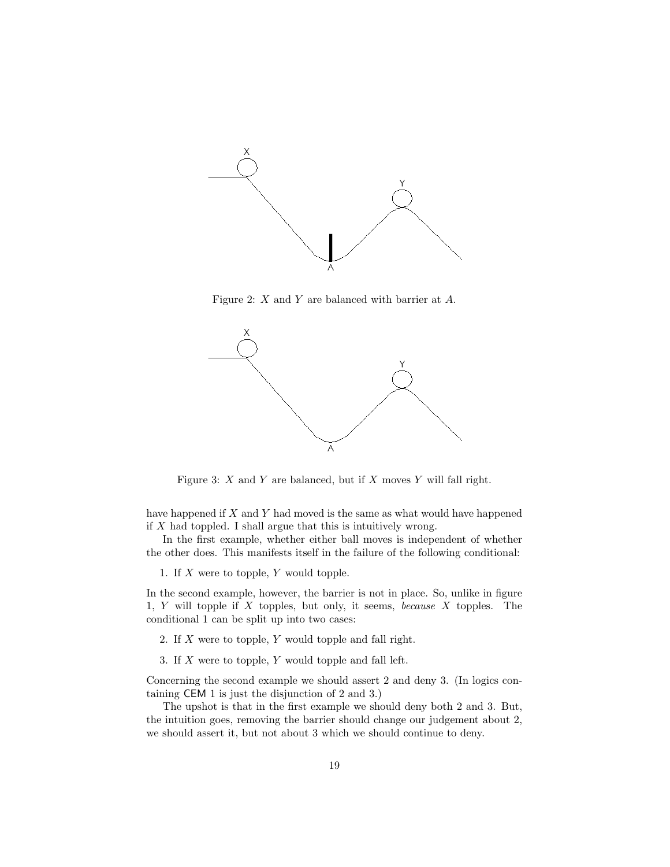

Figure 2: X and Y are balanced with barrier at A.



Figure 3:  $X$  and  $Y$  are balanced, but if  $X$  moves  $Y$  will fall right.

have happened if X and Y had moved is the same as what would have happened if  $X$  had toppled. I shall argue that this is intuitively wrong.

In the first example, whether either ball moves is independent of whether the other does. This manifests itself in the failure of the following conditional:

1. If  $X$  were to topple,  $Y$  would topple.

In the second example, however, the barrier is not in place. So, unlike in figure 1, Y will topple if X topples, but only, it seems, because X topples. The conditional 1 can be split up into two cases:

2. If X were to topple, Y would topple and fall right.

3. If  $X$  were to topple,  $Y$  would topple and fall left.

Concerning the second example we should assert 2 and deny 3. (In logics containing CEM 1 is just the disjunction of 2 and 3.)

The upshot is that in the first example we should deny both 2 and 3. But, the intuition goes, removing the barrier should change our judgement about 2, we should assert it, but not about 3 which we should continue to deny.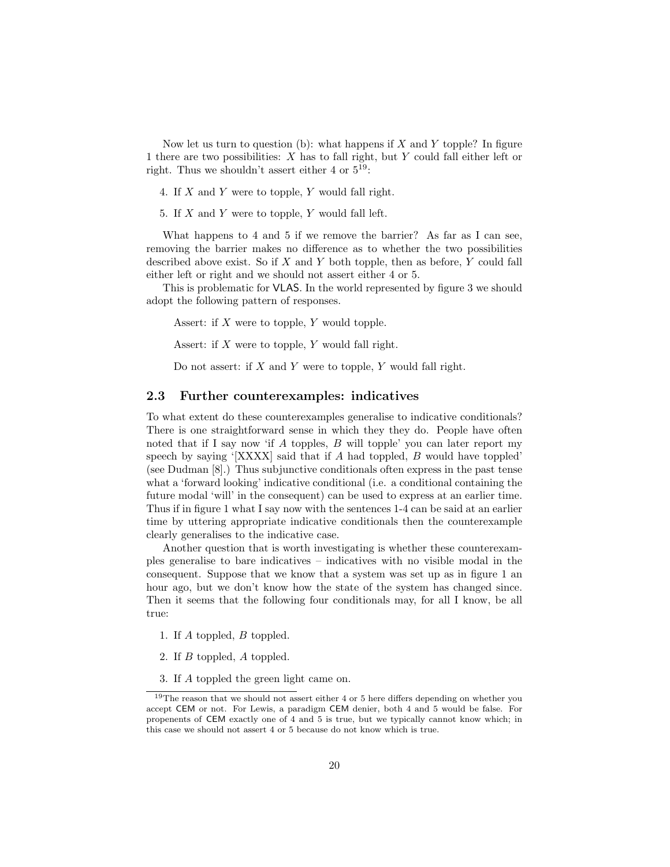Now let us turn to question (b): what happens if  $X$  and  $Y$  topple? In figure 1 there are two possibilities: X has to fall right, but Y could fall either left or right. Thus we shouldn't assert either 4 or  $5^{19}$ :

4. If X and Y were to topple, Y would fall right.

5. If X and Y were to topple, Y would fall left.

What happens to 4 and 5 if we remove the barrier? As far as I can see, removing the barrier makes no difference as to whether the two possibilities described above exist. So if  $X$  and  $Y$  both topple, then as before,  $Y$  could fall either left or right and we should not assert either 4 or 5.

This is problematic for VLAS. In the world represented by figure 3 we should adopt the following pattern of responses.

Assert: if X were to topple, Y would topple.

Assert: if X were to topple, Y would fall right.

Do not assert: if  $X$  and  $Y$  were to topple,  $Y$  would fall right.

### 2.3 Further counterexamples: indicatives

To what extent do these counterexamples generalise to indicative conditionals? There is one straightforward sense in which they they do. People have often noted that if I say now 'if  $A$  topples,  $B$  will topple' you can later report my speech by saying ' $[XXXX]$  said that if A had toppled, B would have toppled' (see Dudman [8].) Thus subjunctive conditionals often express in the past tense what a 'forward looking' indicative conditional (i.e. a conditional containing the future modal 'will' in the consequent) can be used to express at an earlier time. Thus if in figure 1 what I say now with the sentences 1-4 can be said at an earlier time by uttering appropriate indicative conditionals then the counterexample clearly generalises to the indicative case.

Another question that is worth investigating is whether these counterexamples generalise to bare indicatives – indicatives with no visible modal in the consequent. Suppose that we know that a system was set up as in figure 1 an hour ago, but we don't know how the state of the system has changed since. Then it seems that the following four conditionals may, for all I know, be all true:

- 1. If A toppled, B toppled.
- 2. If B toppled, A toppled.
- 3. If A toppled the green light came on.

 $^{19}\mathrm{The}$  reason that we should not assert either 4 or 5 here differs depending on whether you accept CEM or not. For Lewis, a paradigm CEM denier, both 4 and 5 would be false. For propenents of CEM exactly one of 4 and 5 is true, but we typically cannot know which; in this case we should not assert 4 or 5 because do not know which is true.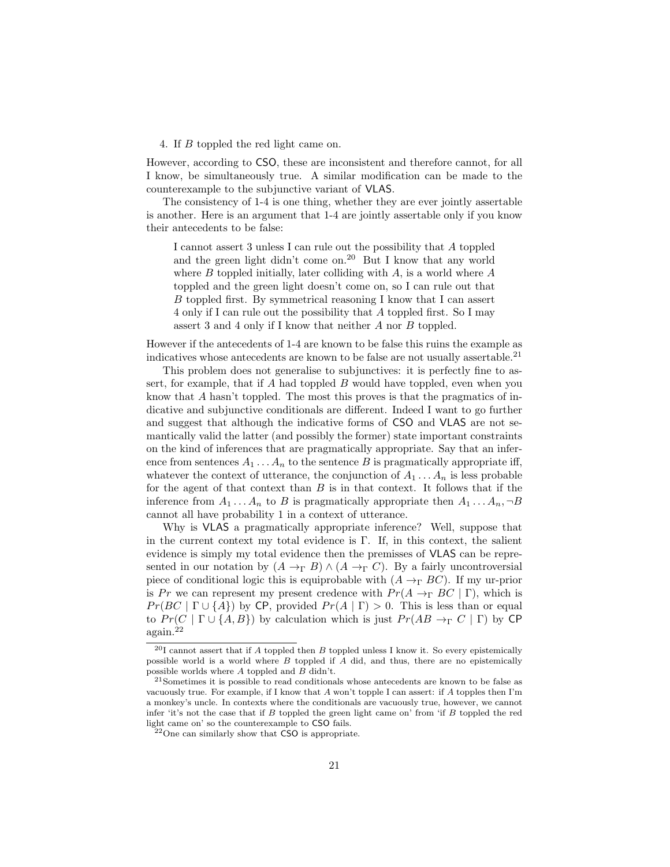#### 4. If B toppled the red light came on.

However, according to CSO, these are inconsistent and therefore cannot, for all I know, be simultaneously true. A similar modification can be made to the counterexample to the subjunctive variant of VLAS.

The consistency of 1-4 is one thing, whether they are ever jointly assertable is another. Here is an argument that 1-4 are jointly assertable only if you know their antecedents to be false:

I cannot assert 3 unless I can rule out the possibility that A toppled and the green light didn't come on.<sup>20</sup> But I know that any world where  $B$  toppled initially, later colliding with  $A$ , is a world where  $A$ toppled and the green light doesn't come on, so I can rule out that B toppled first. By symmetrical reasoning I know that I can assert 4 only if I can rule out the possibility that A toppled first. So I may assert 3 and 4 only if I know that neither A nor B toppled.

However if the antecedents of 1-4 are known to be false this ruins the example as indicatives whose antecedents are known to be false are not usually assertable.<sup>21</sup>

This problem does not generalise to subjunctives: it is perfectly fine to assert, for example, that if  $A$  had toppled  $B$  would have toppled, even when you know that A hasn't toppled. The most this proves is that the pragmatics of indicative and subjunctive conditionals are different. Indeed I want to go further and suggest that although the indicative forms of CSO and VLAS are not semantically valid the latter (and possibly the former) state important constraints on the kind of inferences that are pragmatically appropriate. Say that an inference from sentences  $A_1 \ldots A_n$  to the sentence B is pragmatically appropriate iff, whatever the context of utterance, the conjunction of  $A_1 \ldots A_n$  is less probable for the agent of that context than  $B$  is in that context. It follows that if the inference from  $A_1 \ldots A_n$  to B is pragmatically appropriate then  $A_1 \ldots A_n$ ,  $\neg B$ cannot all have probability 1 in a context of utterance.

Why is VLAS a pragmatically appropriate inference? Well, suppose that in the current context my total evidence is Γ. If, in this context, the salient evidence is simply my total evidence then the premisses of VLAS can be represented in our notation by  $(A \to_{\Gamma} B) \wedge (A \to_{\Gamma} C)$ . By a fairly uncontroversial piece of conditional logic this is equiprobable with  $(A \rightarrow_{\Gamma} BC)$ . If my ur-prior is Pr we can represent my present credence with  $Pr(A \to_{\Gamma} BC | \Gamma)$ , which is  $Pr(BC | \Gamma \cup \{A\})$  by CP, provided  $Pr(A | \Gamma) > 0$ . This is less than or equal to  $Pr(C | \Gamma \cup \{A, B\})$  by calculation which is just  $Pr(AB \rightarrow_{\Gamma} C | \Gamma)$  by CP again.<sup>22</sup>

<sup>&</sup>lt;sup>20</sup>I cannot assert that if A toppled then B toppled unless I know it. So every epistemically possible world is a world where  $B$  toppled if  $A$  did, and thus, there are no epistemically possible worlds where  $A$  toppled and  $B$  didn't.

 $^{21}\rm {Sometimes}$  it is possible to read conditionals whose antecedents are known to be false as vacuously true. For example, if I know that  $A$  won't topple I can assert: if  $A$  topples then I'm a monkey's uncle. In contexts where the conditionals are vacuously true, however, we cannot infer 'it's not the case that if  $B$  toppled the green light came on' from 'if  $B$  toppled the red light came on' so the counterexample to CSO fails.

 $22$ One can similarly show that CSO is appropriate.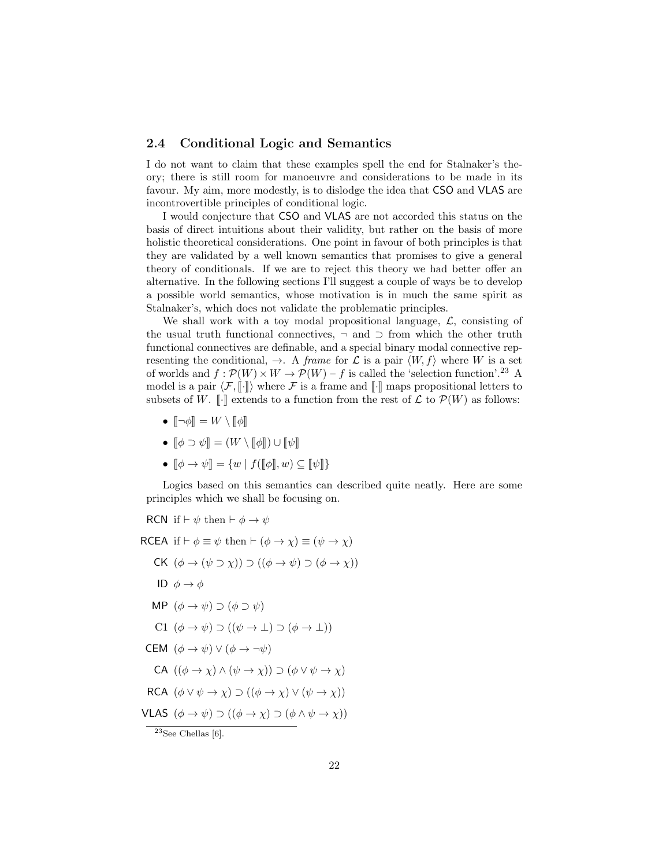## 2.4 Conditional Logic and Semantics

I do not want to claim that these examples spell the end for Stalnaker's theory; there is still room for manoeuvre and considerations to be made in its favour. My aim, more modestly, is to dislodge the idea that CSO and VLAS are incontrovertible principles of conditional logic.

I would conjecture that CSO and VLAS are not accorded this status on the basis of direct intuitions about their validity, but rather on the basis of more holistic theoretical considerations. One point in favour of both principles is that they are validated by a well known semantics that promises to give a general theory of conditionals. If we are to reject this theory we had better offer an alternative. In the following sections I'll suggest a couple of ways be to develop a possible world semantics, whose motivation is in much the same spirit as Stalnaker's, which does not validate the problematic principles.

We shall work with a toy modal propositional language,  $\mathcal{L}$ , consisting of the usual truth functional connectives,  $\neg$  and  $\supset$  from which the other truth functional connectives are definable, and a special binary modal connective representing the conditional,  $\rightarrow$ . A *frame* for  $\mathcal L$  is a pair  $\langle W, f \rangle$  where W is a set of worlds and  $f : \mathcal{P}(W) \times W \to \mathcal{P}(W) - f$  is called the 'selection function'.<sup>23</sup> A model is a pair  $\langle \mathcal{F}, \llbracket \cdot \rrbracket \rangle$  where  $\mathcal F$  is a frame and  $\llbracket \cdot \rrbracket$  maps propositional letters to subsets of W.  $\llbracket \cdot \rrbracket$  extends to a function from the rest of  $\mathcal L$  to  $\mathcal P(W)$  as follows:

- $\lbrack \neg \phi \rbrack \rbrack = W \setminus \lbrack \lbrack \phi \rbrack \rbrack$
- $\phi \supset \psi$  =  $(W \setminus \phi)$   $\cup$   $\psi$
- $\llbracket \phi \rightarrow \psi \rrbracket = \{ w \mid f(\llbracket \phi \rrbracket, w) \subseteq \llbracket \psi \rrbracket \}$

Logics based on this semantics can described quite neatly. Here are some principles which we shall be focusing on.

RCN if  $\vdash \psi$  then  $\vdash \phi \rightarrow \psi$ RCEA if  $\vdash \phi \equiv \psi$  then  $\vdash (\phi \rightarrow \chi) \equiv (\psi \rightarrow \chi)$ CK  $(\phi \rightarrow (\psi \supset \chi)) \supset ((\phi \rightarrow \psi) \supset (\phi \rightarrow \chi))$ ID  $\phi \rightarrow \phi$ MP  $(\phi \rightarrow \psi) \supset (\phi \supset \psi)$ C1  $(\phi \rightarrow \psi) \supset ((\psi \rightarrow \bot) \supset (\phi \rightarrow \bot))$ CEM  $(\phi \to \psi) \lor (\phi \to \neg \psi)$ CA  $((\phi \rightarrow \chi) \land (\psi \rightarrow \chi)) \supset (\phi \lor \psi \rightarrow \chi)$ RCA  $(\phi \lor \psi \to \chi) \supset ((\phi \to \chi) \lor (\psi \to \chi))$ VLAS  $(\phi \to \psi) \supset ((\phi \to \chi) \supset (\phi \land \psi \to \chi))$  $23$ See Chellas [6].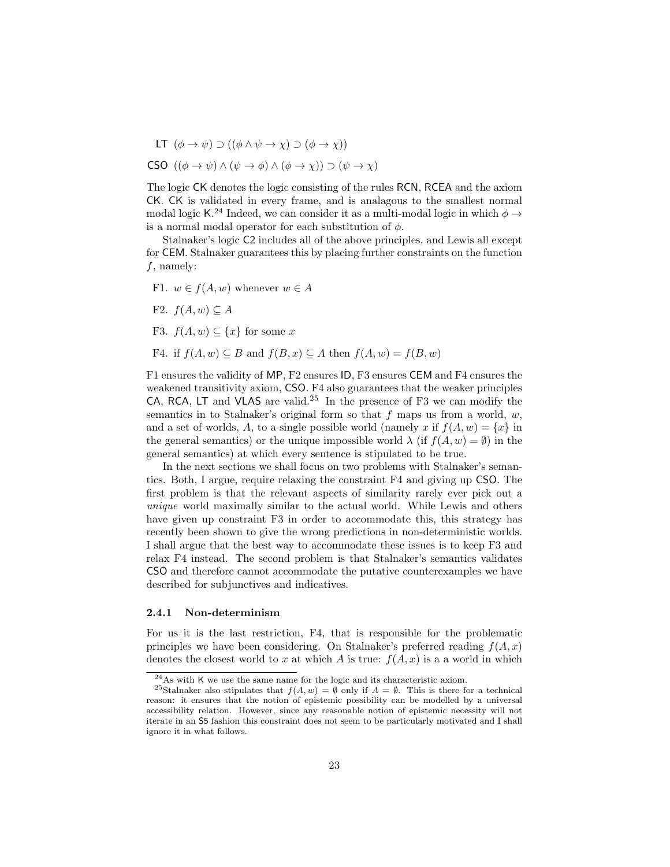LT  $(\phi \to \psi) \supset ((\phi \land \psi \to \chi) \supset (\phi \to \chi))$ CSO  $((\phi \rightarrow \psi) \land (\psi \rightarrow \phi) \land (\phi \rightarrow \chi)) \supset (\psi \rightarrow \chi)$ 

The logic CK denotes the logic consisting of the rules RCN, RCEA and the axiom CK. CK is validated in every frame, and is analagous to the smallest normal modal logic K.<sup>24</sup> Indeed, we can consider it as a multi-modal logic in which  $\phi \rightarrow$ is a normal modal operator for each substitution of  $\phi$ .

Stalnaker's logic C2 includes all of the above principles, and Lewis all except for CEM. Stalnaker guarantees this by placing further constraints on the function  $f$ , namely:

- F1.  $w \in f(A, w)$  whenever  $w \in A$
- F2.  $f(A, w) \subseteq A$
- F3.  $f(A, w) \subseteq \{x\}$  for some x
- F4. if  $f(A, w) \subseteq B$  and  $f(B, x) \subseteq A$  then  $f(A, w) = f(B, w)$

F1 ensures the validity of MP, F2 ensures ID, F3 ensures CEM and F4 ensures the weakened transitivity axiom, CSO. F4 also guarantees that the weaker principles CA, RCA, LT and VLAS are valid.<sup>25</sup> In the presence of F3 we can modify the semantics in to Stalnaker's original form so that  $f$  maps us from a world,  $w$ , and a set of worlds, A, to a single possible world (namely x if  $f(A, w) = \{x\}$  in the general semantics) or the unique impossible world  $\lambda$  (if  $f(A, w) = \emptyset$ ) in the general semantics) at which every sentence is stipulated to be true.

In the next sections we shall focus on two problems with Stalnaker's semantics. Both, I argue, require relaxing the constraint F4 and giving up CSO. The first problem is that the relevant aspects of similarity rarely ever pick out a unique world maximally similar to the actual world. While Lewis and others have given up constraint F3 in order to accommodate this, this strategy has recently been shown to give the wrong predictions in non-deterministic worlds. I shall argue that the best way to accommodate these issues is to keep F3 and relax F4 instead. The second problem is that Stalnaker's semantics validates CSO and therefore cannot accommodate the putative counterexamples we have described for subjunctives and indicatives.

#### 2.4.1 Non-determinism

For us it is the last restriction, F4, that is responsible for the problematic principles we have been considering. On Stalnaker's preferred reading  $f(A, x)$ denotes the closest world to x at which A is true:  $f(A, x)$  is a a world in which

 $^{24}$ As with K we use the same name for the logic and its characteristic axiom.

<sup>&</sup>lt;sup>25</sup>Stalnaker also stipulates that  $f(A, w) = \emptyset$  only if  $A = \emptyset$ . This is there for a technical reason: it ensures that the notion of epistemic possibility can be modelled by a universal accessibility relation. However, since any reasonable notion of epistemic necessity will not iterate in an S5 fashion this constraint does not seem to be particularly motivated and I shall ignore it in what follows.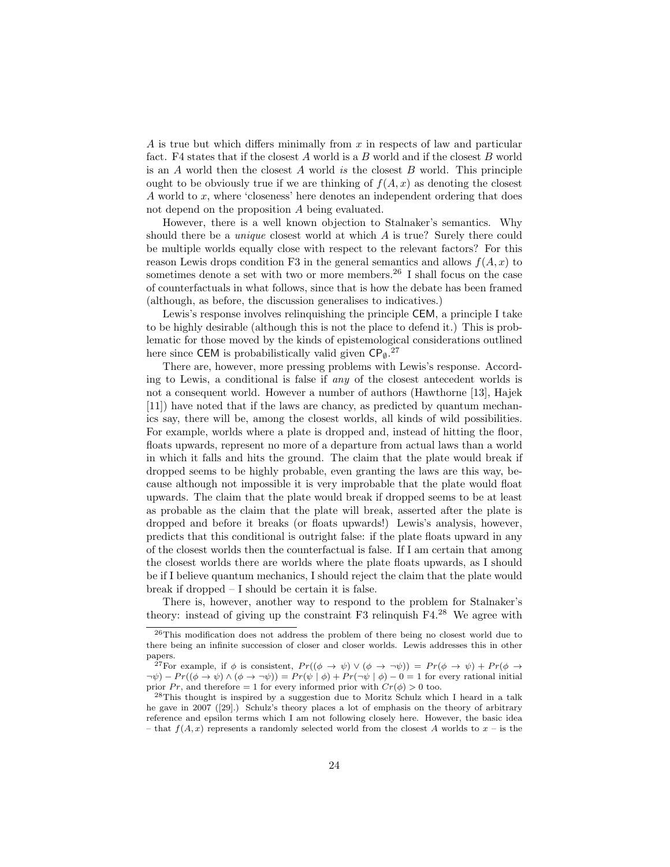A is true but which differs minimally from  $x$  in respects of law and particular fact. F4 states that if the closest  $A$  world is a  $B$  world and if the closest  $B$  world is an A world then the closest A world is the closest B world. This principle ought to be obviously true if we are thinking of  $f(A, x)$  as denoting the closest A world to x, where 'closeness' here denotes an independent ordering that does not depend on the proposition A being evaluated.

However, there is a well known objection to Stalnaker's semantics. Why should there be a unique closest world at which A is true? Surely there could be multiple worlds equally close with respect to the relevant factors? For this reason Lewis drops condition F3 in the general semantics and allows  $f(A, x)$  to sometimes denote a set with two or more members.<sup>26</sup> I shall focus on the case of counterfactuals in what follows, since that is how the debate has been framed (although, as before, the discussion generalises to indicatives.)

Lewis's response involves relinquishing the principle CEM, a principle I take to be highly desirable (although this is not the place to defend it.) This is problematic for those moved by the kinds of epistemological considerations outlined here since CEM is probabilistically valid given  $\mathsf{CP}_{\emptyset}.^{27}$ 

There are, however, more pressing problems with Lewis's response. According to Lewis, a conditional is false if any of the closest antecedent worlds is not a consequent world. However a number of authors (Hawthorne [13], Hajek [11]) have noted that if the laws are chancy, as predicted by quantum mechanics say, there will be, among the closest worlds, all kinds of wild possibilities. For example, worlds where a plate is dropped and, instead of hitting the floor, floats upwards, represent no more of a departure from actual laws than a world in which it falls and hits the ground. The claim that the plate would break if dropped seems to be highly probable, even granting the laws are this way, because although not impossible it is very improbable that the plate would float upwards. The claim that the plate would break if dropped seems to be at least as probable as the claim that the plate will break, asserted after the plate is dropped and before it breaks (or floats upwards!) Lewis's analysis, however, predicts that this conditional is outright false: if the plate floats upward in any of the closest worlds then the counterfactual is false. If I am certain that among the closest worlds there are worlds where the plate floats upwards, as I should be if I believe quantum mechanics, I should reject the claim that the plate would break if dropped – I should be certain it is false.

There is, however, another way to respond to the problem for Stalnaker's theory: instead of giving up the constraint F3 relinquish F4.<sup>28</sup> We agree with

<sup>26</sup>This modification does not address the problem of there being no closest world due to there being an infinite succession of closer and closer worlds. Lewis addresses this in other papers.

<sup>&</sup>lt;sup>27</sup>For example, if  $\phi$  is consistent,  $Pr((\phi \to \psi) \lor (\phi \to \neg \psi)) = Pr(\phi \to \psi) + Pr(\phi \to \psi)$  $\neg \psi$ ) –  $Pr((\phi \rightarrow \psi) \land (\phi \rightarrow \neg \psi)) = Pr(\psi | \phi) + Pr(\neg \psi | \phi) - 0 = 1$  for every rational initial prior Pr, and therefore = 1 for every informed prior with  $Cr(\phi) > 0$  too.

<sup>28</sup>This thought is inspired by a suggestion due to Moritz Schulz which I heard in a talk he gave in 2007 ([29].) Schulz's theory places a lot of emphasis on the theory of arbitrary reference and epsilon terms which I am not following closely here. However, the basic idea – that  $f(A, x)$  represents a randomly selected world from the closest A worlds to  $x$  – is the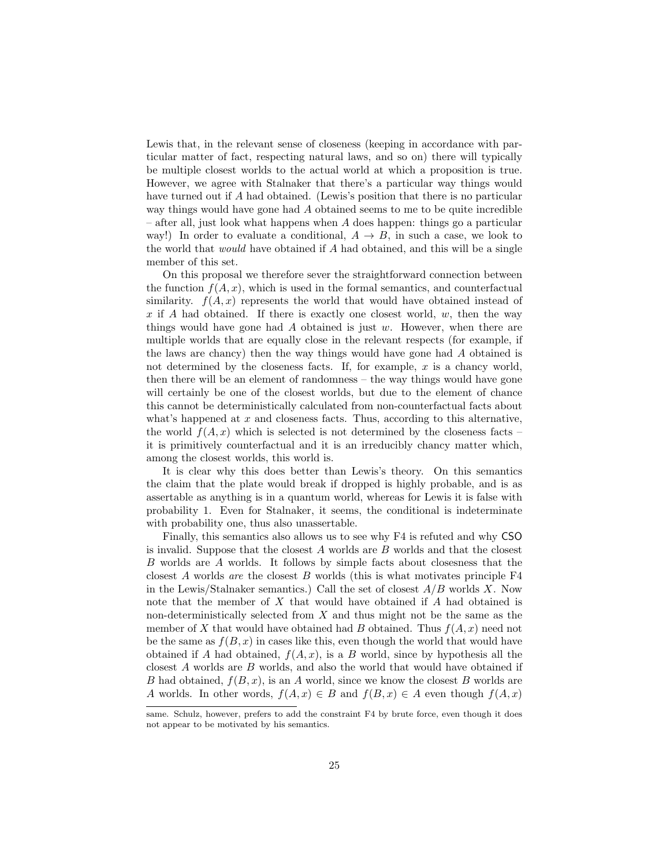Lewis that, in the relevant sense of closeness (keeping in accordance with particular matter of fact, respecting natural laws, and so on) there will typically be multiple closest worlds to the actual world at which a proposition is true. However, we agree with Stalnaker that there's a particular way things would have turned out if A had obtained. (Lewis's position that there is no particular way things would have gone had A obtained seems to me to be quite incredible  $-$  after all, just look what happens when  $A$  does happen: things go a particular way!) In order to evaluate a conditional,  $A \rightarrow B$ , in such a case, we look to the world that would have obtained if A had obtained, and this will be a single member of this set.

On this proposal we therefore sever the straightforward connection between the function  $f(A, x)$ , which is used in the formal semantics, and counterfactual similarity.  $f(A, x)$  represents the world that would have obtained instead of x if A had obtained. If there is exactly one closest world,  $w$ , then the way things would have gone had  $\tilde{A}$  obtained is just w. However, when there are multiple worlds that are equally close in the relevant respects (for example, if the laws are chancy) then the way things would have gone had A obtained is not determined by the closeness facts. If, for example,  $x$  is a chancy world, then there will be an element of randomness – the way things would have gone will certainly be one of the closest worlds, but due to the element of chance this cannot be deterministically calculated from non-counterfactual facts about what's happened at  $x$  and closeness facts. Thus, according to this alternative, the world  $f(A, x)$  which is selected is not determined by the closeness facts – it is primitively counterfactual and it is an irreducibly chancy matter which, among the closest worlds, this world is.

It is clear why this does better than Lewis's theory. On this semantics the claim that the plate would break if dropped is highly probable, and is as assertable as anything is in a quantum world, whereas for Lewis it is false with probability 1. Even for Stalnaker, it seems, the conditional is indeterminate with probability one, thus also unassertable.

Finally, this semantics also allows us to see why F4 is refuted and why CSO is invalid. Suppose that the closest  $A$  worlds are  $B$  worlds and that the closest B worlds are A worlds. It follows by simple facts about closesness that the closest  $A$  worlds are the closest  $B$  worlds (this is what motivates principle  $F4$ in the Lewis/Stalnaker semantics.) Call the set of closest  $A/B$  worlds X. Now note that the member of X that would have obtained if A had obtained is non-deterministically selected from X and thus might not be the same as the member of X that would have obtained had B obtained. Thus  $f(A, x)$  need not be the same as  $f(B, x)$  in cases like this, even though the world that would have obtained if A had obtained,  $f(A, x)$ , is a B world, since by hypothesis all the closest A worlds are B worlds, and also the world that would have obtained if B had obtained,  $f(B, x)$ , is an A world, since we know the closest B worlds are A worlds. In other words,  $f(A, x) \in B$  and  $f(B, x) \in A$  even though  $f(A, x)$ 

same. Schulz, however, prefers to add the constraint F4 by brute force, even though it does not appear to be motivated by his semantics.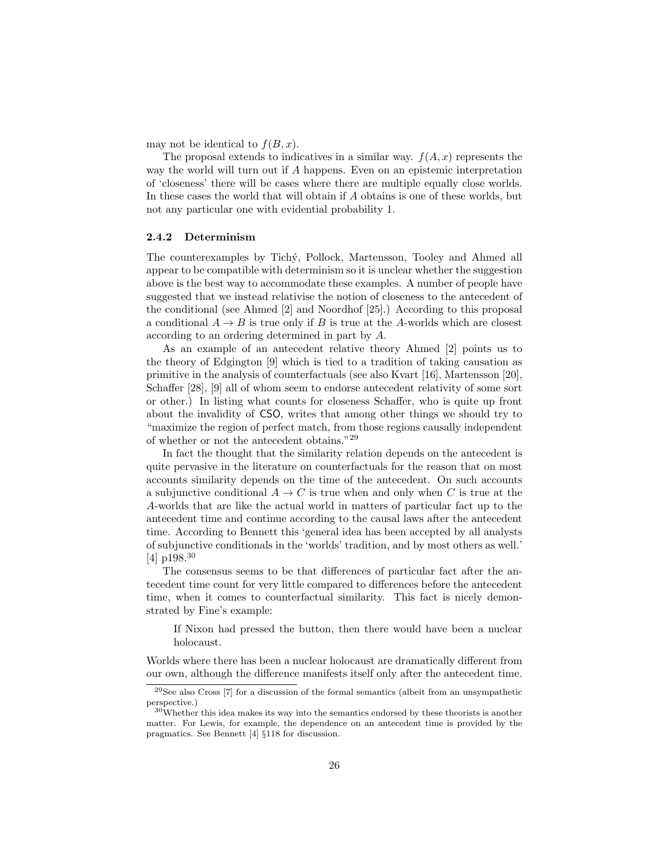may not be identical to  $f(B, x)$ .

The proposal extends to indicatives in a similar way.  $f(A, x)$  represents the way the world will turn out if A happens. Even on an epistemic interpretation of 'closeness' there will be cases where there are multiple equally close worlds. In these cases the world that will obtain if A obtains is one of these worlds, but not any particular one with evidential probability 1.

#### 2.4.2 Determinism

The counterexamples by Tich´y, Pollock, Martensson, Tooley and Ahmed all appear to be compatible with determinism so it is unclear whether the suggestion above is the best way to accommodate these examples. A number of people have suggested that we instead relativise the notion of closeness to the antecedent of the conditional (see Ahmed [2] and Noordhof [25].) According to this proposal a conditional  $A \rightarrow B$  is true only if B is true at the A-worlds which are closest according to an ordering determined in part by A.

As an example of an antecedent relative theory Ahmed [2] points us to the theory of Edgington [9] which is tied to a tradition of taking causation as primitive in the analysis of counterfactuals (see also Kvart [16], Martensson [20], Schaffer [28], [9] all of whom seem to endorse antecedent relativity of some sort or other.) In listing what counts for closeness Schaffer, who is quite up front about the invalidity of CSO, writes that among other things we should try to "maximize the region of perfect match, from those regions causally independent of whether or not the antecedent obtains."<sup>29</sup>

In fact the thought that the similarity relation depends on the antecedent is quite pervasive in the literature on counterfactuals for the reason that on most accounts similarity depends on the time of the antecedent. On such accounts a subjunctive conditional  $A \to C$  is true when and only when C is true at the A-worlds that are like the actual world in matters of particular fact up to the antecedent time and continue according to the causal laws after the antecedent time. According to Bennett this 'general idea has been accepted by all analysts of subjunctive conditionals in the 'worlds' tradition, and by most others as well.' [4] p198.<sup>30</sup>

The consensus seems to be that differences of particular fact after the antecedent time count for very little compared to differences before the antecedent time, when it comes to counterfactual similarity. This fact is nicely demonstrated by Fine's example:

If Nixon had pressed the button, then there would have been a nuclear holocaust.

Worlds where there has been a nuclear holocaust are dramatically different from our own, although the difference manifests itself only after the antecedent time.

<sup>29</sup>See also Cross [7] for a discussion of the formal semantics (albeit from an unsympathetic perspective.)

<sup>30</sup>Whether this idea makes its way into the semantics endorsed by these theorists is another matter. For Lewis, for example, the dependence on an antecedent time is provided by the pragmatics. See Bennett [4] §118 for discussion.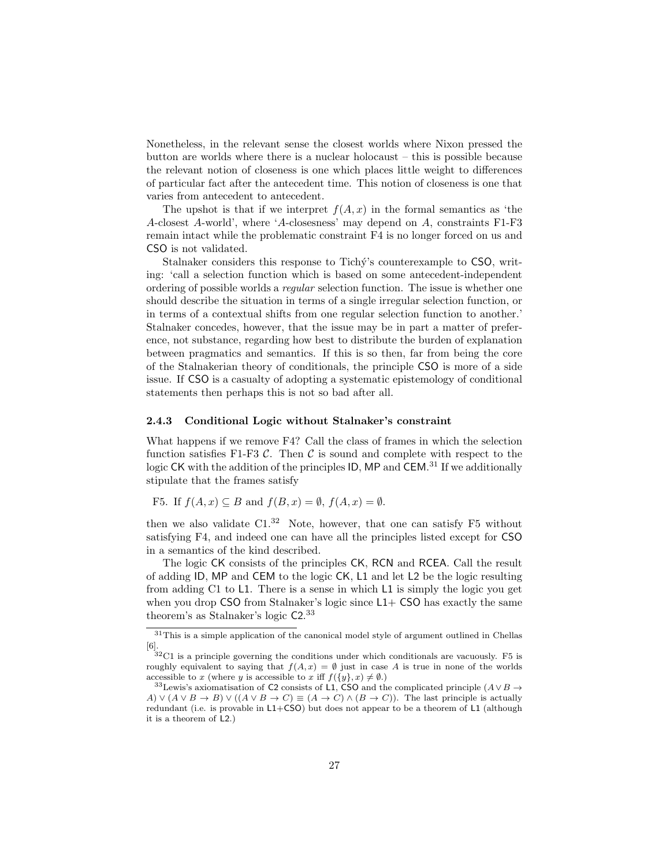Nonetheless, in the relevant sense the closest worlds where Nixon pressed the button are worlds where there is a nuclear holocaust – this is possible because the relevant notion of closeness is one which places little weight to differences of particular fact after the antecedent time. This notion of closeness is one that varies from antecedent to antecedent.

The upshot is that if we interpret  $f(A, x)$  in the formal semantics as 'the A-closest A-world', where 'A-closesness' may depend on A, constraints F1-F3 remain intact while the problematic constraint F4 is no longer forced on us and CSO is not validated.

Stalnaker considers this response to Tichy's counterexample to CSO, writing: 'call a selection function which is based on some antecedent-independent ordering of possible worlds a regular selection function. The issue is whether one should describe the situation in terms of a single irregular selection function, or in terms of a contextual shifts from one regular selection function to another.' Stalnaker concedes, however, that the issue may be in part a matter of preference, not substance, regarding how best to distribute the burden of explanation between pragmatics and semantics. If this is so then, far from being the core of the Stalnakerian theory of conditionals, the principle CSO is more of a side issue. If CSO is a casualty of adopting a systematic epistemology of conditional statements then perhaps this is not so bad after all.

#### 2.4.3 Conditional Logic without Stalnaker's constraint

What happens if we remove F4? Call the class of frames in which the selection function satisfies F1-F3  $\mathcal{C}$ . Then  $\mathcal{C}$  is sound and complete with respect to the logic CK with the addition of the principles ID, MP and CEM.<sup>31</sup> If we additionally stipulate that the frames satisfy

F5. If 
$$
f(A, x) \subseteq B
$$
 and  $f(B, x) = \emptyset$ ,  $f(A, x) = \emptyset$ .

then we also validate  $C1<sup>32</sup>$  Note, however, that one can satisfy F5 without satisfying F4, and indeed one can have all the principles listed except for CSO in a semantics of the kind described.

The logic CK consists of the principles CK, RCN and RCEA. Call the result of adding ID, MP and CEM to the logic CK, L1 and let L2 be the logic resulting from adding C1 to L1. There is a sense in which L1 is simply the logic you get when you drop  $\mathsf{CSO}\xspace$  from Stalnaker's logic since  $\mathsf{L1}+\mathsf{CSO}\xspace$  has exactly the same theorem's as Stalnaker's logic C2. 33

 $\frac{31}{10}$  This is a simple application of the canonical model style of argument outlined in Chellas [6].

 $32^3$ C1 is a principle governing the conditions under which conditionals are vacuously. F5 is roughly equivalent to saying that  $f(A, x) = \emptyset$  just in case A is true in none of the worlds accessible to x (where y is accessible to x iff  $f({y}, x) \neq \emptyset$ .)

<sup>&</sup>lt;sup>33</sup>Lewis's axiomatisation of C2 consists of L1, CSO and the complicated principle  $(A \lor B \to$ A)  $\vee$   $(A \vee B \rightarrow B) \vee ((A \vee B \rightarrow C) \equiv (A \rightarrow C) \wedge (B \rightarrow C))$ . The last principle is actually redundant (i.e. is provable in L1+CSO) but does not appear to be a theorem of L1 (although it is a theorem of L2.)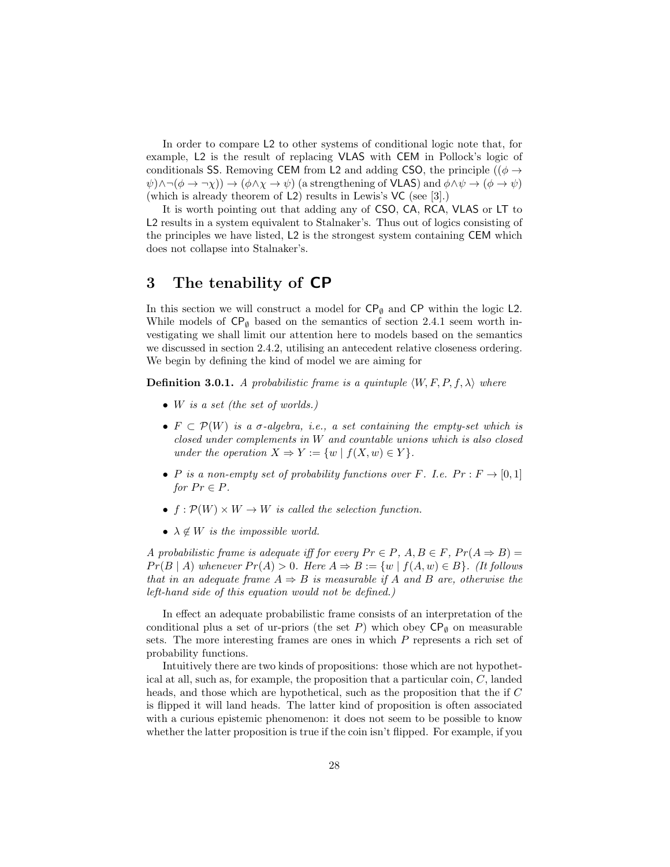In order to compare L2 to other systems of conditional logic note that, for example, L2 is the result of replacing VLAS with CEM in Pollock's logic of conditionals SS. Removing CEM from L2 and adding CSO, the principle (( $\phi \rightarrow$  $\psi$ ) $\land \neg(\phi \to \neg \chi)$ )  $\to (\phi \land \chi \to \psi)$  (a strengthening of **VLAS**) and  $\phi \land \psi \to (\phi \to \psi)$ (which is already theorem of L2) results in Lewis's VC (see [3].)

It is worth pointing out that adding any of CSO, CA, RCA, VLAS or LT to L2 results in a system equivalent to Stalnaker's. Thus out of logics consisting of the principles we have listed, L2 is the strongest system containing CEM which does not collapse into Stalnaker's.

## 3 The tenability of CP

In this section we will construct a model for  $\mathsf{CP}_{\emptyset}$  and  $\mathsf{CP}$  within the logic L2. While models of  $\mathsf{CP}_{\emptyset}$  based on the semantics of section 2.4.1 seem worth investigating we shall limit our attention here to models based on the semantics we discussed in section 2.4.2, utilising an antecedent relative closeness ordering. We begin by defining the kind of model we are aiming for

**Definition 3.0.1.** A probabilistic frame is a quintuple  $\langle W, F, P, f, \lambda \rangle$  where

- $\bullet$  W is a set (the set of worlds.)
- $F \subset \mathcal{P}(W)$  is a  $\sigma$ -algebra, i.e., a set containing the empty-set which is closed under complements in W and countable unions which is also closed under the operation  $X \Rightarrow Y := \{w \mid f(X, w) \in Y\}.$
- P is a non-empty set of probability functions over F. I.e.  $Pr : F \rightarrow [0,1]$ for  $Pr \in P$ .
- $f : \mathcal{P}(W) \times W \rightarrow W$  is called the selection function.
- $\lambda \notin W$  is the impossible world.

A probabilistic frame is adequate iff for every  $Pr \in P$ ,  $A, B \in F$ ,  $Pr(A \Rightarrow B) =$  $Pr(B | A)$  whenever  $Pr(A) > 0$ . Here  $A \Rightarrow B := \{w \mid f(A, w) \in B\}$ . (It follows that in an adequate frame  $A \Rightarrow B$  is measurable if A and B are, otherwise the left-hand side of this equation would not be defined.)

In effect an adequate probabilistic frame consists of an interpretation of the conditional plus a set of ur-priors (the set P) which obey  $\mathsf{CP}_{\emptyset}$  on measurable sets. The more interesting frames are ones in which P represents a rich set of probability functions.

Intuitively there are two kinds of propositions: those which are not hypothetical at all, such as, for example, the proposition that a particular coin, C, landed heads, and those which are hypothetical, such as the proposition that the if C is flipped it will land heads. The latter kind of proposition is often associated with a curious epistemic phenomenon: it does not seem to be possible to know whether the latter proposition is true if the coin isn't flipped. For example, if you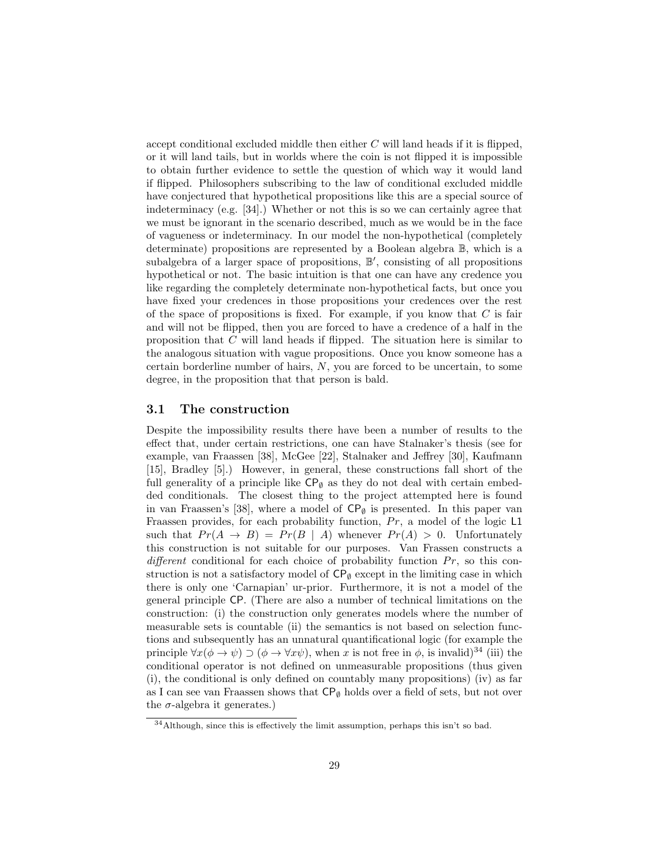accept conditional excluded middle then either  $C$  will land heads if it is flipped, or it will land tails, but in worlds where the coin is not flipped it is impossible to obtain further evidence to settle the question of which way it would land if flipped. Philosophers subscribing to the law of conditional excluded middle have conjectured that hypothetical propositions like this are a special source of indeterminacy (e.g. [34].) Whether or not this is so we can certainly agree that we must be ignorant in the scenario described, much as we would be in the face of vagueness or indeterminacy. In our model the non-hypothetical (completely determinate) propositions are represented by a Boolean algebra B, which is a subalgebra of a larger space of propositions,  $\mathbb{B}'$ , consisting of all propositions hypothetical or not. The basic intuition is that one can have any credence you like regarding the completely determinate non-hypothetical facts, but once you have fixed your credences in those propositions your credences over the rest of the space of propositions is fixed. For example, if you know that  $C$  is fair and will not be flipped, then you are forced to have a credence of a half in the proposition that  $C$  will land heads if flipped. The situation here is similar to the analogous situation with vague propositions. Once you know someone has a certain borderline number of hairs, N, you are forced to be uncertain, to some degree, in the proposition that that person is bald.

## 3.1 The construction

Despite the impossibility results there have been a number of results to the effect that, under certain restrictions, one can have Stalnaker's thesis (see for example, van Fraassen [38], McGee [22], Stalnaker and Jeffrey [30], Kaufmann [15], Bradley [5].) However, in general, these constructions fall short of the full generality of a principle like  $\mathsf{CP}_{\emptyset}$  as they do not deal with certain embedded conditionals. The closest thing to the project attempted here is found in van Fraassen's [38], where a model of  $\mathsf{CP}_{\emptyset}$  is presented. In this paper van Fraassen provides, for each probability function,  $Pr$ , a model of the logic L1 such that  $Pr(A \rightarrow B) = Pr(B \mid A)$  whenever  $Pr(A) > 0$ . Unfortunately this construction is not suitable for our purposes. Van Frassen constructs a different conditional for each choice of probability function  $Pr$ , so this construction is not a satisfactory model of  $\mathsf{CP}_{\emptyset}$  except in the limiting case in which there is only one 'Carnapian' ur-prior. Furthermore, it is not a model of the general principle CP. (There are also a number of technical limitations on the construction: (i) the construction only generates models where the number of measurable sets is countable (ii) the semantics is not based on selection functions and subsequently has an unnatural quantificational logic (for example the principle  $\forall x(\phi \to \psi) \supset (\phi \to \forall x\psi)$ , when x is not free in  $\phi$ , is invalid)<sup>34</sup> (iii) the conditional operator is not defined on unmeasurable propositions (thus given (i), the conditional is only defined on countably many propositions) (iv) as far as I can see van Fraassen shows that  $\mathsf{CP}_{\emptyset}$  holds over a field of sets, but not over the  $\sigma$ -algebra it generates.)

<sup>&</sup>lt;sup>34</sup>Although, since this is effectively the limit assumption, perhaps this isn't so bad.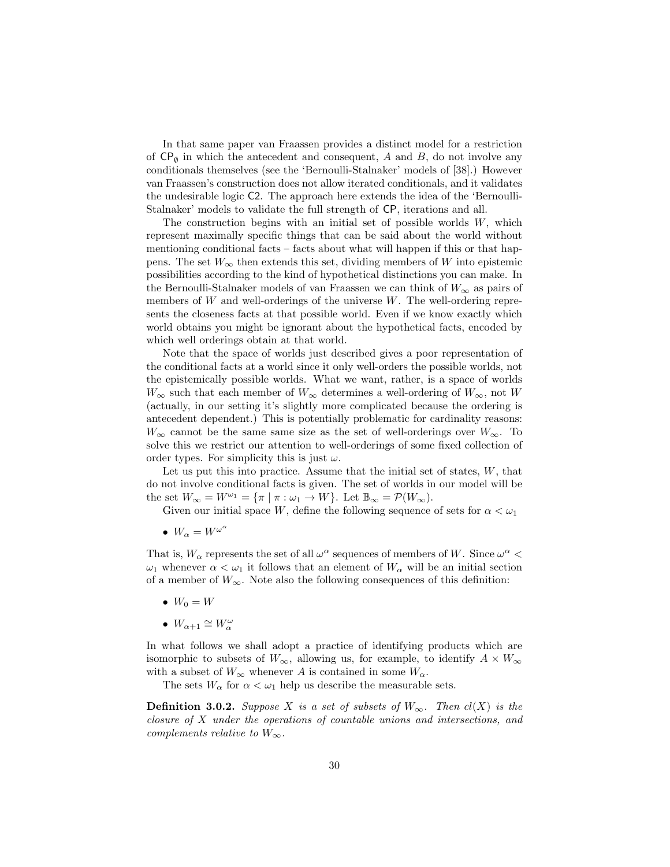In that same paper van Fraassen provides a distinct model for a restriction of  $\mathsf{CP}_{\emptyset}$  in which the antecedent and consequent, A and B, do not involve any conditionals themselves (see the 'Bernoulli-Stalnaker' models of [38].) However van Fraassen's construction does not allow iterated conditionals, and it validates the undesirable logic C2. The approach here extends the idea of the 'Bernoulli-Stalnaker' models to validate the full strength of CP, iterations and all.

The construction begins with an initial set of possible worlds  $W$ , which represent maximally specific things that can be said about the world without mentioning conditional facts – facts about what will happen if this or that happens. The set  $W_{\infty}$  then extends this set, dividing members of W into epistemic possibilities according to the kind of hypothetical distinctions you can make. In the Bernoulli-Stalnaker models of van Fraassen we can think of  $W_{\infty}$  as pairs of members of  $W$  and well-orderings of the universe  $W$ . The well-ordering represents the closeness facts at that possible world. Even if we know exactly which world obtains you might be ignorant about the hypothetical facts, encoded by which well orderings obtain at that world.

Note that the space of worlds just described gives a poor representation of the conditional facts at a world since it only well-orders the possible worlds, not the epistemically possible worlds. What we want, rather, is a space of worlds  $W_{\infty}$  such that each member of  $W_{\infty}$  determines a well-ordering of  $W_{\infty}$ , not W (actually, in our setting it's slightly more complicated because the ordering is antecedent dependent.) This is potentially problematic for cardinality reasons:  $W_{\infty}$  cannot be the same same size as the set of well-orderings over  $W_{\infty}$ . To solve this we restrict our attention to well-orderings of some fixed collection of order types. For simplicity this is just  $\omega$ .

Let us put this into practice. Assume that the initial set of states,  $W$ , that do not involve conditional facts is given. The set of worlds in our model will be the set  $W_{\infty} = W^{\omega_1} = {\pi \mid \pi : \omega_1 \to W}$ . Let  $\mathbb{B}_{\infty} = \mathcal{P}(W_{\infty})$ .

Given our initial space W, define the following sequence of sets for  $\alpha < \omega_1$ 

•  $W_{\alpha} = W^{\omega^{\alpha}}$ 

That is,  $W_{\alpha}$  represents the set of all  $\omega^{\alpha}$  sequences of members of W. Since  $\omega^{\alpha}$  <  $\omega_1$  whenever  $\alpha < \omega_1$  it follows that an element of  $W_\alpha$  will be an initial section of a member of  $W_{\infty}$ . Note also the following consequences of this definition:

- $W_0 = W$
- $W_{\alpha+1} \cong W_{\alpha}^{\omega}$

In what follows we shall adopt a practice of identifying products which are isomorphic to subsets of  $W_{\infty}$ , allowing us, for example, to identify  $A \times W_{\infty}$ with a subset of  $W_{\infty}$  whenever A is contained in some  $W_{\alpha}$ .

The sets  $W_{\alpha}$  for  $\alpha < \omega_1$  help us describe the measurable sets.

**Definition 3.0.2.** Suppose X is a set of subsets of  $W_{\infty}$ . Then  $cl(X)$  is the closure of X under the operations of countable unions and intersections, and complements relative to  $W_{\infty}$ .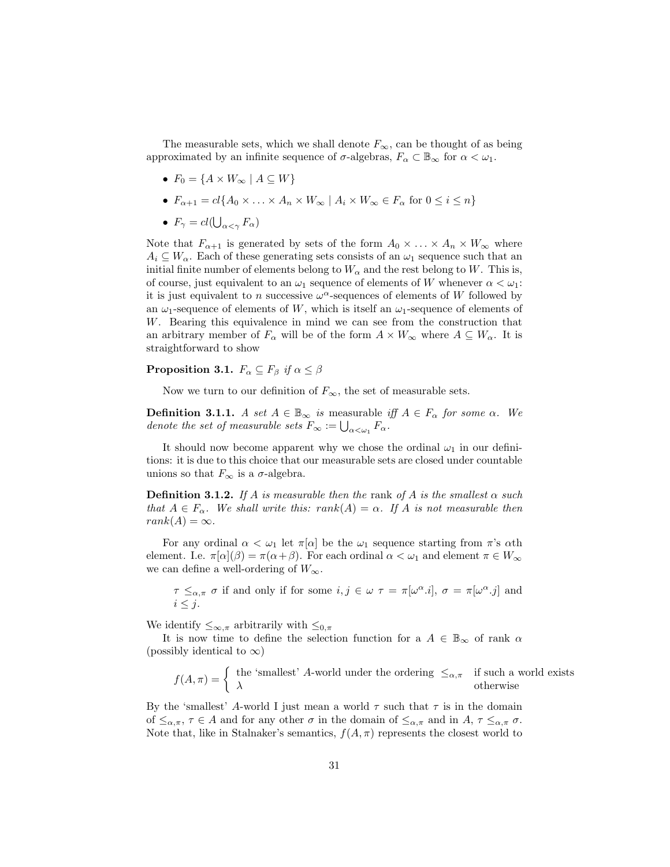The measurable sets, which we shall denote  $F_{\infty}$ , can be thought of as being approximated by an infinite sequence of  $\sigma$ -algebras,  $F_{\alpha} \subset \mathbb{B}_{\infty}$  for  $\alpha < \omega_1$ .

- $F_0 = \{A \times W_\infty \mid A \subseteq W\}$
- $F_{\alpha+1} = cl\{A_0 \times \ldots \times A_n \times W_\infty \mid A_i \times W_\infty \in F_\alpha \text{ for } 0 \leq i \leq n\}$
- $F_{\gamma} = cl(\bigcup_{\alpha < \gamma} F_{\alpha})$

Note that  $F_{\alpha+1}$  is generated by sets of the form  $A_0 \times \ldots \times A_n \times W_{\infty}$  where  $A_i \subseteq W_\alpha$ . Each of these generating sets consists of an  $\omega_1$  sequence such that an initial finite number of elements belong to  $W_{\alpha}$  and the rest belong to W. This is, of course, just equivalent to an  $\omega_1$  sequence of elements of W whenever  $\alpha < \omega_1$ : it is just equivalent to n successive  $\omega^{\alpha}$ -sequences of elements of W followed by an  $\omega_1$ -sequence of elements of W, which is itself an  $\omega_1$ -sequence of elements of W. Bearing this equivalence in mind we can see from the construction that an arbitrary member of  $F_{\alpha}$  will be of the form  $A \times W_{\infty}$  where  $A \subseteq W_{\alpha}$ . It is straightforward to show

#### **Proposition 3.1.**  $F_{\alpha} \subseteq F_{\beta}$  if  $\alpha \leq \beta$

Now we turn to our definition of  $F_{\infty}$ , the set of measurable sets.

**Definition 3.1.1.** A set  $A \in \mathbb{B}_{\infty}$  is measurable iff  $A \in F_{\alpha}$  for some  $\alpha$ . We denote the set of measurable sets  $F_{\infty} := \bigcup_{\alpha < \omega_1} F_{\alpha}$ .

It should now become apparent why we chose the ordinal  $\omega_1$  in our definitions: it is due to this choice that our measurable sets are closed under countable unions so that  $F_{\infty}$  is a  $\sigma$ -algebra.

**Definition 3.1.2.** If A is measurable then the rank of A is the smallest  $\alpha$  such that  $A \in F_{\alpha}$ . We shall write this: rank $(A) = \alpha$ . If A is not measurable then  $rank(A) = \infty$ .

For any ordinal  $\alpha < \omega_1$  let  $\pi[\alpha]$  be the  $\omega_1$  sequence starting from  $\pi$ 's  $\alpha$ th element. I.e.  $\pi[\alpha](\beta) = \pi(\alpha + \beta)$ . For each ordinal  $\alpha < \omega_1$  and element  $\pi \in W_\infty$ we can define a well-ordering of  $W_{\infty}$ .

 $\tau \leq_{\alpha,\pi} \sigma$  if and only if for some  $i, j \in \omega$   $\tau = \pi[\omega^{\alpha} \cdot i], \sigma = \pi[\omega^{\alpha} \cdot j]$  and  $i \leq j$ .

We identify  $\leq_{\infty,\pi}$  arbitrarily with  $\leq_{0,\pi}$ 

It is now time to define the selection function for a  $A \in \mathbb{B}_{\infty}$  of rank  $\alpha$ (possibly identical to  $\infty$ )

$$
f(A,\pi) = \begin{cases} \text{the 'smallest' } A \text{-world under the ordering } \leq_{\alpha,\pi} & \text{if such a world exists} \\ \lambda & \text{otherwise} \end{cases}
$$

By the 'smallest' A-world I just mean a world  $\tau$  such that  $\tau$  is in the domain of  $\leq_{\alpha,\pi}$ ,  $\tau \in A$  and for any other  $\sigma$  in the domain of  $\leq_{\alpha,\pi}$  and in  $A$ ,  $\tau \leq_{\alpha,\pi} \sigma$ . Note that, like in Stalnaker's semantics,  $f(A, \pi)$  represents the closest world to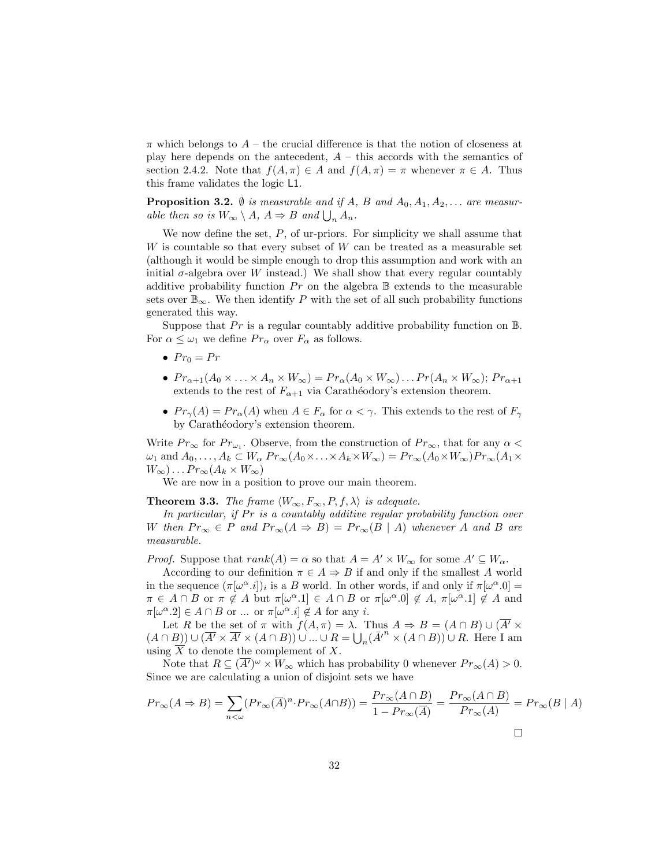$\pi$  which belongs to  $A$  – the crucial difference is that the notion of closeness at play here depends on the antecedent,  $A -$  this accords with the semantics of section 2.4.2. Note that  $f(A, \pi) \in A$  and  $f(A, \pi) = \pi$  whenever  $\pi \in A$ . Thus this frame validates the logic L1.

**Proposition 3.2.**  $\emptyset$  is measurable and if A, B and  $A_0, A_1, A_2, \ldots$  are measurable then so is  $W_{\infty} \setminus A$ ,  $A \Rightarrow B$  and  $\bigcup_n A_n$ .

We now define the set,  $P$ , of ur-priors. For simplicity we shall assume that  $W$  is countable so that every subset of  $W$  can be treated as a measurable set (although it would be simple enough to drop this assumption and work with an initial  $\sigma$ -algebra over W instead.) We shall show that every regular countably additive probability function  $Pr$  on the algebra  $\mathbb B$  extends to the measurable sets over  $\mathbb{B}_{\infty}$ . We then identify P with the set of all such probability functions generated this way.

Suppose that Pr is a regular countably additive probability function on  $\mathbb{B}$ . For  $\alpha \leq \omega_1$  we define  $Pr_{\alpha}$  over  $F_{\alpha}$  as follows.

- $Pr_0 = Pr$
- $Pr_{\alpha+1}(A_0 \times \ldots \times A_n \times W_\infty) = Pr_\alpha(A_0 \times W_\infty) \ldots Pr(A_n \times W_\infty); Pr_{\alpha+1}$ extends to the rest of  $F_{\alpha+1}$  via Carathéodory's extension theorem.
- $Pr_{\gamma}(A) = Pr_{\alpha}(A)$  when  $A \in F_{\alpha}$  for  $\alpha < \gamma$ . This extends to the rest of  $F_{\gamma}$ by Carathéodory's extension theorem.

Write  $Pr_{\infty}$  for  $Pr_{\omega_1}$ . Observe, from the construction of  $Pr_{\infty}$ , that for any  $\alpha$  <  $\omega_1$  and  $A_0, \ldots, A_k \subset W_\alpha$   $Pr_{\infty}(A_0 \times \ldots \times A_k \times W_\infty) = Pr_{\infty}(A_0 \times W_\infty) Pr_{\infty}(A_1 \times$  $W_{\infty}) \dots Pr_{\infty}(A_k \times W_{\infty})$ 

We are now in a position to prove our main theorem.

**Theorem 3.3.** The frame  $\langle W_{\infty}, F_{\infty}, P, f, \lambda \rangle$  is adequate.

In particular, if  $Pr$  is a countably additive regular probability function over W then  $Pr_{\infty} \in P$  and  $Pr_{\infty}(A \Rightarrow B) = Pr_{\infty}(B \mid A)$  whenever A and B are measurable.

*Proof.* Suppose that  $rank(A) = \alpha$  so that  $A = A' \times W_{\infty}$  for some  $A' \subseteq W_{\alpha}$ .

According to our definition  $\pi \in A \Rightarrow B$  if and only if the smallest A world in the sequence  $(\pi[\omega^{\alpha}.i])_i$  is a B world. In other words, if and only if  $\pi[\omega^{\alpha}.0] =$  $\pi \in A \cap B$  or  $\pi \notin A$  but  $\pi[\omega^{\alpha} \cdot 1] \in A \cap B$  or  $\pi[\omega^{\alpha} \cdot 0] \notin A$ ,  $\pi[\omega^{\alpha} \cdot 1] \notin A$  and  $\pi[\omega^{\alpha}.2] \in A \cap B$  or ... or  $\pi[\omega^{\alpha}.i] \notin A$  for any *i*.

Let R be the set of  $\pi$  with  $f(A, \pi) = \lambda$ . Thus  $A \Rightarrow B = (A \cap B) \cup (\overline{A'} \times$  $(A \cap B) \cup (\overline{A'} \times \overline{A'} \times (A \cap B)) \cup ... \cup R = \bigcup_n (\overline{A'}^n \times (A \cap B)) \cup R$ . Here I am using  $\overline{X}$  to denote the complement of X.

Note that  $R \subseteq (\overline{A'})^{\omega} \times W_{\infty}$  which has probability 0 whenever  $Pr_{\infty}(A) > 0$ . Since we are calculating a union of disjoint sets we have

$$
Pr_{\infty}(A \Rightarrow B) = \sum_{n < \omega} (Pr_{\infty}(\overline{A})^n \cdot Pr_{\infty}(A \cap B)) = \frac{Pr_{\infty}(A \cap B)}{1 - Pr_{\infty}(\overline{A})} = \frac{Pr_{\infty}(A \cap B)}{Pr_{\infty}(A)} = Pr_{\infty}(B \mid A)
$$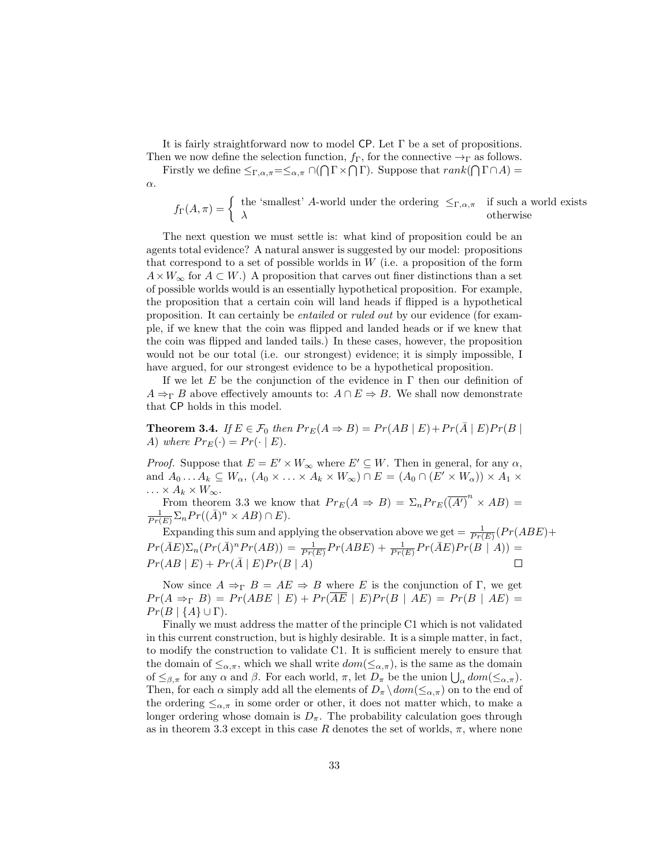It is fairly straightforward now to model CP. Let  $\Gamma$  be a set of propositions.

Then we now define the selection function,  $f_{\Gamma}$ , for the connective  $\rightarrow_{\Gamma}$  as follows. Firstly we define  $\leq_{\Gamma,\alpha,\pi}=\leq_{\alpha,\pi}\cap(\bigcap\Gamma\times\bigcap\Gamma)$ . Suppose that  $rank(\bigcap\Gamma\cap A)=$ 

α.

 $f_{\Gamma}(A,\pi) = \begin{cases}$  the 'smallest' A-world under the ordering  $\leq_{\Gamma,\alpha,\pi}$  if such a world exists  $\lambda$  otherwise

The next question we must settle is: what kind of proposition could be an agents total evidence? A natural answer is suggested by our model: propositions that correspond to a set of possible worlds in  $W$  (i.e. a proposition of the form  $A \times W_{\infty}$  for  $A \subset W$ .) A proposition that carves out finer distinctions than a set of possible worlds would is an essentially hypothetical proposition. For example, the proposition that a certain coin will land heads if flipped is a hypothetical proposition. It can certainly be entailed or ruled out by our evidence (for example, if we knew that the coin was flipped and landed heads or if we knew that the coin was flipped and landed tails.) In these cases, however, the proposition would not be our total (i.e. our strongest) evidence; it is simply impossible, I have argued, for our strongest evidence to be a hypothetical proposition.

If we let E be the conjunction of the evidence in  $\Gamma$  then our definition of  $A \Rightarrow_{\Gamma} B$  above effectively amounts to:  $A \cap E \Rightarrow B$ . We shall now demonstrate that CP holds in this model.

**Theorem 3.4.** If  $E \in \mathcal{F}_0$  then  $Pr_E(A \Rightarrow B) = Pr(AB | E) + Pr(\overline{A} | E)Pr(B | E)$ A) where  $Pr_E(\cdot) = Pr(\cdot | E)$ .

*Proof.* Suppose that  $E = E' \times W_{\infty}$  where  $E' \subseteq W$ . Then in general, for any  $\alpha$ , and  $A_0 \dots A_k \subseteq W_\alpha$ ,  $(A_0 \times \dots \times A_k \times W_\infty) \cap E = (A_0 \cap (E' \times W_\alpha)) \times A_1 \times$  $\ldots \times A_k \times W_\infty.$ 

From theorem 3.3 we know that  $Pr_E(A \Rightarrow B) = \sum_n Pr_E(\overline{(A')}^n \times AB) = \frac{1}{Pr(E)} \sum_n Pr((\overline{A})^n \times AB) \cap E$ .

Expanding this sum and applying the observation above we get  $= \frac{1}{Pr(E)}(Pr(ABE)) +$  $Pr(\bar{A}E)\Sigma_n(Pr(\bar{A})^n Pr(AB)) = \frac{1}{Pr(E)}Pr(ABE) + \frac{1}{Pr(E)}Pr(\bar{A}E)Pr(B|A)) =$  $Pr(AB | E) + Pr(\overline{A} | E)Pr(B | A)$  $\Box$ 

Now since  $A \Rightarrow_{\Gamma} B = AE \Rightarrow B$  where E is the conjunction of Γ, we get  $Pr(A \Rightarrow_{\Gamma} B) = Pr(ABE \mid E) + Pr(\overline{AE} \mid E)Pr(B \mid AE) = Pr(B \mid AE)$  $Pr(B | \{A\} \cup \Gamma).$ 

Finally we must address the matter of the principle C1 which is not validated in this current construction, but is highly desirable. It is a simple matter, in fact, to modify the construction to validate C1. It is sufficient merely to ensure that the domain of  $\leq_{\alpha,\pi}$ , which we shall write  $dom(\leq_{\alpha,\pi})$ , is the same as the domain of  $\leq_{\beta,\pi}$  for any  $\alpha$  and  $\beta$ . For each world,  $\pi$ , let  $D_{\pi}$  be the union  $\bigcup_{\alpha} dom(\leq_{\alpha,\pi})$ . Then, for each  $\alpha$  simply add all the elements of  $D_{\pi} \setminus dom(\leq_{\alpha,\pi})$  on to the end of the ordering  $\leq_{\alpha,\pi}$  in some order or other, it does not matter which, to make a longer ordering whose domain is  $D_{\pi}$ . The probability calculation goes through as in theorem 3.3 except in this case R denotes the set of worlds,  $\pi$ , where none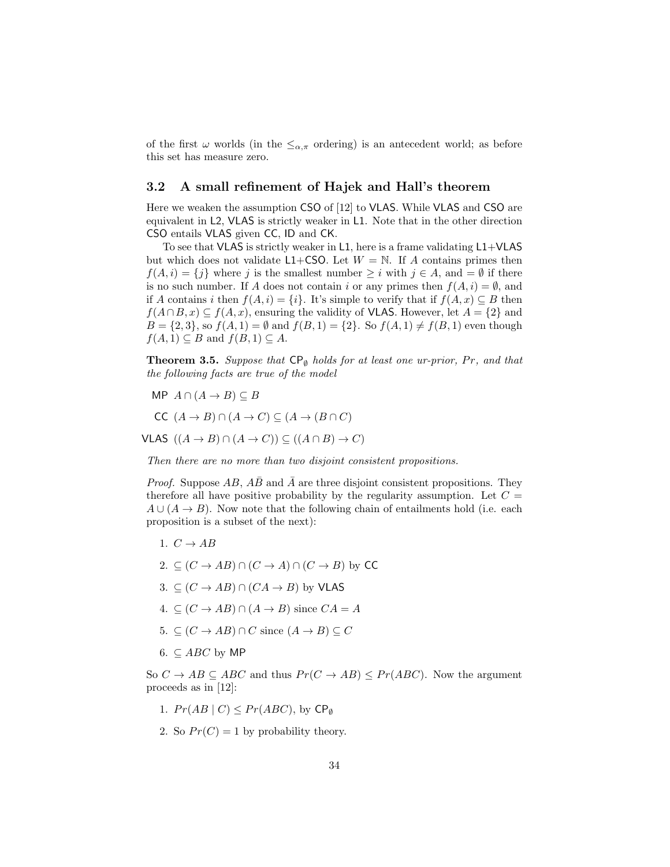of the first  $\omega$  worlds (in the  $\leq_{\alpha,\pi}$  ordering) is an antecedent world; as before this set has measure zero.

### 3.2 A small refinement of Hajek and Hall's theorem

Here we weaken the assumption CSO of [12] to VLAS. While VLAS and CSO are equivalent in L2, VLAS is strictly weaker in L1. Note that in the other direction CSO entails VLAS given CC, ID and CK.

To see that VLAS is strictly weaker in L1, here is a frame validating  $L1+VLAS$ but which does not validate L1+CSO. Let  $W = N$ . If A contains primes then  $f(A, i) = \{j\}$  where j is the smallest number  $\geq i$  with  $j \in A$ , and  $= \emptyset$  if there is no such number. If A does not contain i or any primes then  $f(A, i) = \emptyset$ , and if A contains i then  $f(A, i) = \{i\}$ . It's simple to verify that if  $f(A, x) \subseteq B$  then  $f(A \cap B, x) \subseteq f(A, x)$ , ensuring the validity of VLAS. However, let  $A = \{2\}$  and  $B = \{2, 3\}$ , so  $f(A, 1) = \emptyset$  and  $f(B, 1) = \{2\}$ . So  $f(A, 1) \neq f(B, 1)$  even though  $f(A, 1) \subseteq B$  and  $f(B, 1) \subseteq A$ .

**Theorem 3.5.** Suppose that  $\mathsf{CP}_{\emptyset}$  holds for at least one ur-prior, Pr, and that the following facts are true of the model

MP  $A \cap (A \rightarrow B) \subseteq B$ 

$$
CC \ (A \to B) \cap (A \to C) \subseteq (A \to (B \cap C)
$$

VLAS  $((A \rightarrow B) \cap (A \rightarrow C)) \subseteq ((A \cap B) \rightarrow C)$ 

Then there are no more than two disjoint consistent propositions.

*Proof.* Suppose  $AB$ ,  $\overline{AB}$  and  $\overline{A}$  are three disjoint consistent propositions. They therefore all have positive probability by the regularity assumption. Let  $C =$  $A \cup (A \rightarrow B)$ . Now note that the following chain of entailments hold (i.e. each proposition is a subset of the next):

- 1.  $C \rightarrow AB$
- 2.  $\subset$   $(C \rightarrow AB) \cap (C \rightarrow A) \cap (C \rightarrow B)$  by CC
- 3.  $\subseteq$   $(C \rightarrow AB) \cap (CA \rightarrow B)$  by VLAS
- 4. ⊆  $(C \rightarrow AB) \cap (A \rightarrow B)$  since  $CA = A$
- 5.  $\subseteq$   $(C \rightarrow AB) \cap C$  since  $(A \rightarrow B) \subseteq C$
- 6.  $\subset$  *ABC* by MP

So  $C \rightarrow AB \subseteq ABC$  and thus  $Pr(C \rightarrow AB) \leq Pr(ABC)$ . Now the argument proceeds as in [12]:

- 1.  $Pr(AB | C) \leq Pr(ABC)$ , by  $\mathsf{CP}_{\emptyset}$
- 2. So  $Pr(C) = 1$  by probability theory.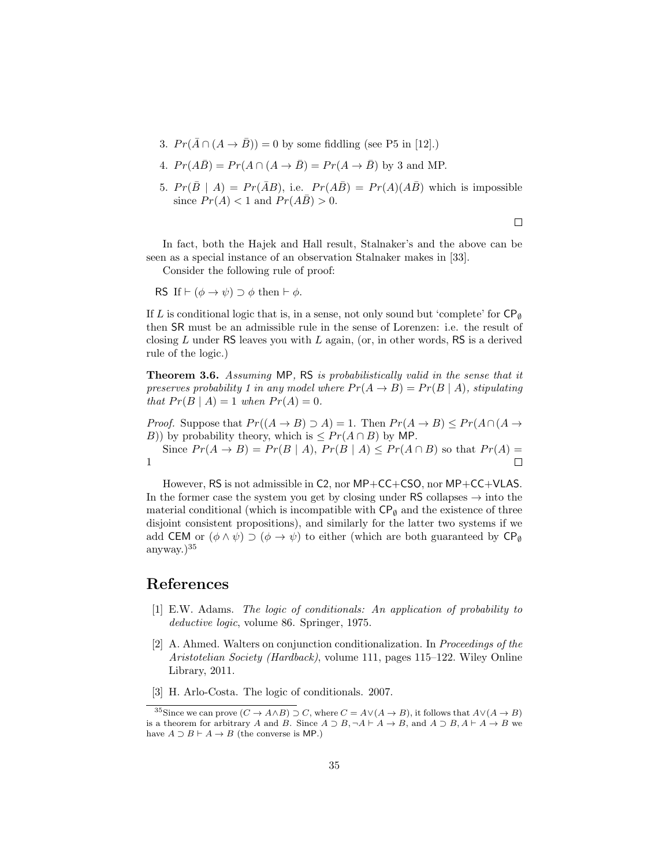3.  $Pr(\bar{A} \cap (A \rightarrow \bar{B})) = 0$  by some fiddling (see P5 in [12].)

4. 
$$
Pr(A\overline{B}) = Pr(A \cap (A \rightarrow \overline{B}) = Pr(A \rightarrow \overline{B})
$$
 by 3 and MP.

5.  $Pr(\bar{B} | A) = Pr(\bar{A}B)$ , i.e.  $Pr(A\bar{B}) = Pr(A)(A\bar{B})$  which is impossible since  $Pr(A) < 1$  and  $Pr(A\overline{B}) > 0$ .

 $\Box$ 

In fact, both the Hajek and Hall result, Stalnaker's and the above can be seen as a special instance of an observation Stalnaker makes in [33].

Consider the following rule of proof:

RS If  $\vdash (\phi \rightarrow \psi) \supset \phi$  then  $\vdash \phi$ .

If L is conditional logic that is, in a sense, not only sound but 'complete' for  $\mathsf{CP}_\emptyset$ then SR must be an admissible rule in the sense of Lorenzen: i.e. the result of closing L under RS leaves you with L again, (or, in other words, RS is a derived rule of the logic.)

Theorem 3.6. Assuming MP, RS is probabilistically valid in the sense that it preserves probability 1 in any model where  $Pr(A \rightarrow B) = Pr(B \mid A)$ , stipulating that  $Pr(B | A) = 1$  when  $Pr(A) = 0$ .

*Proof.* Suppose that  $Pr((A \rightarrow B) \supset A) = 1$ . Then  $Pr(A \rightarrow B) \leq Pr(A \cap (A \rightarrow B))$ B)) by probability theory, which is  $\leq Pr(A \cap B)$  by MP.

Since  $Pr(A \rightarrow B) = Pr(B \mid A)$ ,  $Pr(B \mid A) \leq Pr(A \cap B)$  so that  $Pr(A) =$ 1  $\Box$ 

However, RS is not admissible in C2, nor MP+CC+CSO, nor MP+CC+VLAS. In the former case the system you get by closing under  $RS$  collapses  $\rightarrow$  into the material conditional (which is incompatible with  $\mathsf{CP}_{\emptyset}$  and the existence of three disjoint consistent propositions), and similarly for the latter two systems if we add CEM or  $(\phi \land \psi) \supset (\phi \to \psi)$  to either (which are both guaranteed by CP<sub>Ø</sub> anyway. $)^{35}$ 

## References

- [1] E.W. Adams. The logic of conditionals: An application of probability to deductive logic, volume 86. Springer, 1975.
- [2] A. Ahmed. Walters on conjunction conditionalization. In Proceedings of the Aristotelian Society (Hardback), volume 111, pages 115–122. Wiley Online Library, 2011.
- [3] H. Arlo-Costa. The logic of conditionals. 2007.

<sup>&</sup>lt;sup>35</sup>Since we can prove  $(C \to A \land B) \supset C$ , where  $C = A \lor (A \to B)$ , it follows that  $A \lor (A \to B)$ is a theorem for arbitrary A and B. Since  $A \supset B$ ,  $\neg A \vdash A \rightarrow B$ , and  $A \supset B$ ,  $A \vdash A \rightarrow B$  we have  $A \supset B \vdash A \rightarrow B$  (the converse is MP.)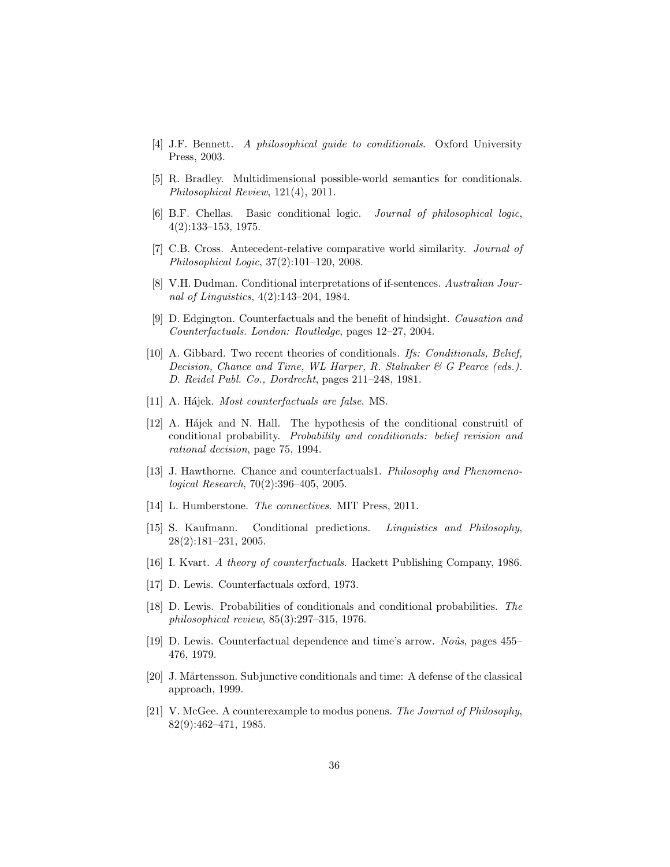- [4] J.F. Bennett. A philosophical guide to conditionals. Oxford University Press, 2003.
- [5] R. Bradley. Multidimensional possible-world semantics for conditionals. Philosophical Review, 121(4), 2011.
- [6] B.F. Chellas. Basic conditional logic. Journal of philosophical logic, 4(2):133–153, 1975.
- [7] C.B. Cross. Antecedent-relative comparative world similarity. Journal of Philosophical Logic, 37(2):101–120, 2008.
- [8] V.H. Dudman. Conditional interpretations of if-sentences. Australian Journal of Linguistics, 4(2):143–204, 1984.
- [9] D. Edgington. Counterfactuals and the benefit of hindsight. Causation and Counterfactuals. London: Routledge, pages 12–27, 2004.
- [10] A. Gibbard. Two recent theories of conditionals. Ifs: Conditionals, Belief, Decision, Chance and Time, WL Harper, R. Stalnaker & G Pearce (eds.). D. Reidel Publ. Co., Dordrecht, pages 211–248, 1981.
- [11] A. Hájek. *Most counterfactuals are false*. MS.
- [12] A. Hájek and N. Hall. The hypothesis of the conditional construitle of conditional probability. Probability and conditionals: belief revision and rational decision, page 75, 1994.
- [13] J. Hawthorne. Chance and counterfactuals1. Philosophy and Phenomenological Research, 70(2):396–405, 2005.
- [14] L. Humberstone. The connectives. MIT Press, 2011.
- [15] S. Kaufmann. Conditional predictions. Linguistics and Philosophy, 28(2):181–231, 2005.
- [16] I. Kvart. A theory of counterfactuals. Hackett Publishing Company, 1986.
- [17] D. Lewis. Counterfactuals oxford, 1973.
- [18] D. Lewis. Probabilities of conditionals and conditional probabilities. The philosophical review, 85(3):297–315, 1976.
- [19] D. Lewis. Counterfactual dependence and time's arrow. No $\hat{u}$ s, pages 455– 476, 1979.
- [20] J. Mårtensson. Subjunctive conditionals and time: A defense of the classical approach, 1999.
- [21] V. McGee. A counterexample to modus ponens. The Journal of Philosophy, 82(9):462–471, 1985.